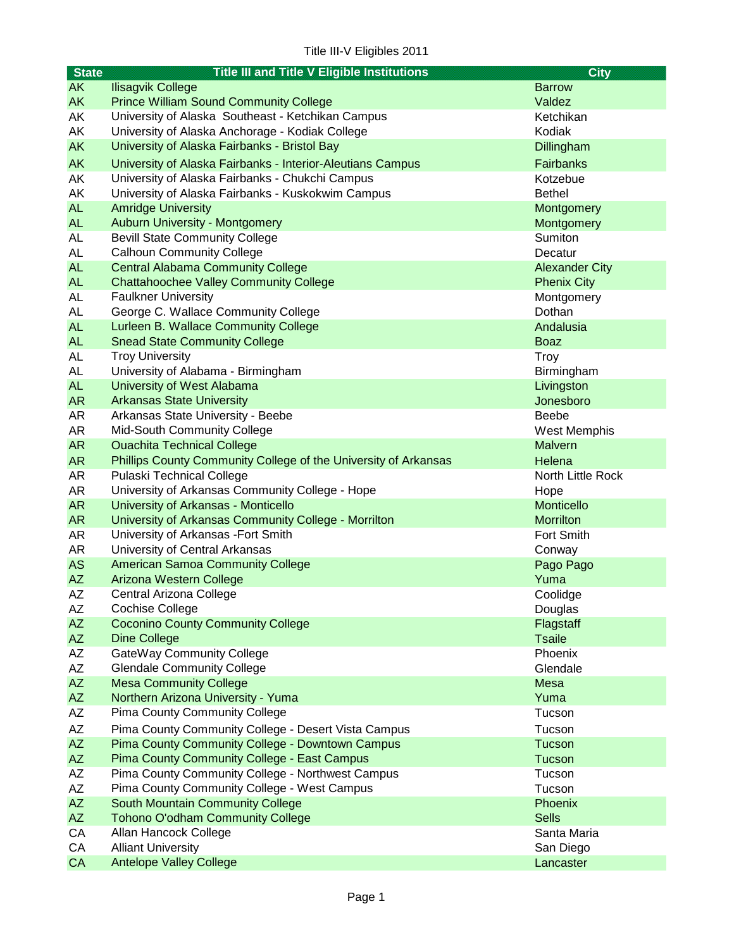| <b>State</b> | <b>Title III and Title V Eligible Institutions</b>                                  | <b>City</b>           |
|--------------|-------------------------------------------------------------------------------------|-----------------------|
| <b>AK</b>    | <b>Ilisagvik College</b>                                                            | <b>Barrow</b>         |
| <b>AK</b>    | <b>Prince William Sound Community College</b>                                       | Valdez                |
| АK           | University of Alaska Southeast - Ketchikan Campus                                   | Ketchikan             |
| АK           | University of Alaska Anchorage - Kodiak College                                     | Kodiak                |
| <b>AK</b>    | University of Alaska Fairbanks - Bristol Bay                                        | Dillingham            |
| <b>AK</b>    | University of Alaska Fairbanks - Interior-Aleutians Campus                          | Fairbanks             |
| AK           | University of Alaska Fairbanks - Chukchi Campus                                     | Kotzebue              |
| AK           | University of Alaska Fairbanks - Kuskokwim Campus                                   | <b>Bethel</b>         |
| <b>AL</b>    | <b>Amridge University</b>                                                           | Montgomery            |
| <b>AL</b>    | <b>Auburn University - Montgomery</b>                                               | Montgomery            |
| <b>AL</b>    | <b>Bevill State Community College</b>                                               | Sumiton               |
| AL           | <b>Calhoun Community College</b>                                                    | Decatur               |
| <b>AL</b>    | <b>Central Alabama Community College</b>                                            | <b>Alexander City</b> |
| <b>AL</b>    | <b>Chattahoochee Valley Community College</b>                                       | <b>Phenix City</b>    |
| <b>AL</b>    | <b>Faulkner University</b>                                                          | Montgomery            |
| <b>AL</b>    | George C. Wallace Community College                                                 | Dothan                |
| <b>AL</b>    | Lurleen B. Wallace Community College                                                | Andalusia             |
| <b>AL</b>    | <b>Snead State Community College</b>                                                | <b>Boaz</b>           |
| <b>AL</b>    | <b>Troy University</b>                                                              | <b>Troy</b>           |
| AL           | University of Alabama - Birmingham                                                  | Birmingham            |
| <b>AL</b>    | University of West Alabama                                                          | Livingston            |
| <b>AR</b>    | <b>Arkansas State University</b>                                                    | Jonesboro             |
| AR           | Arkansas State University - Beebe                                                   | Beebe                 |
| AR           | Mid-South Community College                                                         | <b>West Memphis</b>   |
| AR           | <b>Ouachita Technical College</b>                                                   | <b>Malvern</b>        |
| <b>AR</b>    | Phillips County Community College of the University of Arkansas                     | Helena                |
| AR<br>AR     | <b>Pulaski Technical College</b><br>University of Arkansas Community College - Hope | North Little Rock     |
| <b>AR</b>    | University of Arkansas - Monticello                                                 | Hope<br>Monticello    |
| <b>AR</b>    | University of Arkansas Community College - Morrilton                                | <b>Morrilton</b>      |
| AR           | University of Arkansas - Fort Smith                                                 | Fort Smith            |
| AR           | University of Central Arkansas                                                      | Conway                |
| <b>AS</b>    | <b>American Samoa Community College</b>                                             | Pago Pago             |
| <b>AZ</b>    | Arizona Western College                                                             | Yuma                  |
| AΖ           | Central Arizona College                                                             | Coolidge              |
| AΖ           | <b>Cochise College</b>                                                              | Douglas               |
| <b>AZ</b>    | <b>Coconino County Community College</b>                                            | Flagstaff             |
| AZ           | <b>Dine College</b>                                                                 | <b>Tsaile</b>         |
| AZ           | GateWay Community College                                                           | Phoenix               |
| <b>AZ</b>    | <b>Glendale Community College</b>                                                   | Glendale              |
| AZ           | <b>Mesa Community College</b>                                                       | <b>Mesa</b>           |
| AZ           | Northern Arizona University - Yuma                                                  | Yuma                  |
| AZ           | <b>Pima County Community College</b>                                                | Tucson                |
| <b>AZ</b>    | Pima County Community College - Desert Vista Campus                                 | Tucson                |
| AZ           | Pima County Community College - Downtown Campus                                     | Tucson                |
| <b>AZ</b>    | <b>Pima County Community College - East Campus</b>                                  | Tucson                |
| AZ           | Pima County Community College - Northwest Campus                                    | Tucson                |
| AZ           | Pima County Community College - West Campus                                         | Tucson                |
| <b>AZ</b>    | South Mountain Community College                                                    | Phoenix               |
| <b>AZ</b>    | <b>Tohono O'odham Community College</b>                                             | <b>Sells</b>          |
| CA           | Allan Hancock College                                                               | Santa Maria           |
| CA           | <b>Alliant University</b>                                                           | San Diego             |
| CA           | <b>Antelope Valley College</b>                                                      | Lancaster             |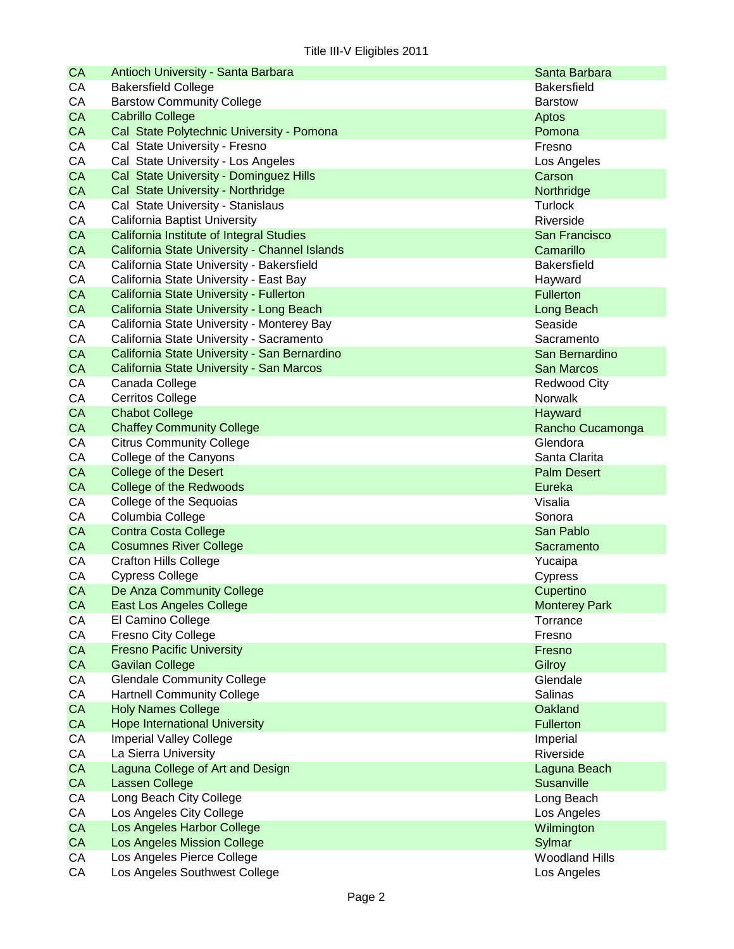| <b>CA</b> | Antioch University - Santa Barbara            | Santa Barbara                   |
|-----------|-----------------------------------------------|---------------------------------|
| CA        | <b>Bakersfield College</b>                    | <b>Bakersfield</b>              |
| CA        | <b>Barstow Community College</b>              | <b>Barstow</b>                  |
| CA        | <b>Cabrillo College</b>                       | Aptos                           |
| CA        | Cal State Polytechnic University - Pomona     | Pomona                          |
| CA        | Cal State University - Fresno                 | Fresno                          |
| CA        | Cal State University - Los Angeles            | Los Angeles                     |
| <b>CA</b> | Cal State University - Dominguez Hills        | Carson                          |
| CA        | Cal State University - Northridge             | Northridge                      |
| СA        | Cal State University - Stanislaus             | <b>Turlock</b>                  |
| CA        | California Baptist University                 | Riverside                       |
| <b>CA</b> | California Institute of Integral Studies      | San Francisco                   |
| <b>CA</b> | California State University - Channel Islands | Camarillo                       |
| CA        | California State University - Bakersfield     | <b>Bakersfield</b>              |
| CA        | California State University - East Bay        | Hayward                         |
| <b>CA</b> | California State University - Fullerton       | <b>Fullerton</b>                |
| CA        | California State University - Long Beach      | Long Beach                      |
| CA        | California State University - Monterey Bay    | Seaside                         |
| CA        | California State University - Sacramento      | Sacramento                      |
| CA        | California State University - San Bernardino  | San Bernardino                  |
| CA        | California State University - San Marcos      | <b>San Marcos</b>               |
| CA        | Canada College                                | <b>Redwood City</b>             |
| CA        | <b>Cerritos College</b>                       | Norwalk                         |
| <b>CA</b> | <b>Chabot College</b>                         | Hayward                         |
| CA        | <b>Chaffey Community College</b>              | Rancho Cucamonga                |
| CA        | <b>Citrus Community College</b>               | Glendora                        |
| CA        | College of the Canyons                        | Santa Clarita                   |
| <b>CA</b> | <b>College of the Desert</b>                  | <b>Palm Desert</b>              |
| CA        | College of the Redwoods                       | Eureka                          |
| CA        | College of the Sequoias                       | Visalia                         |
| CA        | Columbia College                              | Sonora                          |
| <b>CA</b> | <b>Contra Costa College</b>                   | San Pablo                       |
| CA        | <b>Cosumnes River College</b>                 | Sacramento                      |
| CA        | <b>Crafton Hills College</b>                  | Yucaipa                         |
| CA        | <b>Cypress College</b>                        | Cypress                         |
| <b>CA</b> | De Anza Community College                     | Cupertino                       |
| CA        | East Los Angeles College                      | <b>Monterey Park</b>            |
| CA        | El Camino College                             | Torrance                        |
| CA        | Fresno City College                           | Fresno                          |
| CA        | <b>Fresno Pacific University</b>              | Fresno                          |
| CA        | <b>Gavilan College</b>                        | Gilroy                          |
| CA        | <b>Glendale Community College</b>             | Glendale                        |
| CA        | <b>Hartnell Community College</b>             | Salinas                         |
| CA        | <b>Holy Names College</b>                     | Oakland                         |
| CA        | <b>Hope International University</b>          | Fullerton                       |
| CA        | <b>Imperial Valley College</b>                | Imperial                        |
| CA        | La Sierra University                          | Riverside                       |
| CA        | Laguna College of Art and Design              | Laguna Beach                    |
| CA        | Lassen College                                | Susanville                      |
| CA        | Long Beach City College                       |                                 |
| CA        | Los Angeles City College                      | Long Beach                      |
| CA        | Los Angeles Harbor College                    | Los Angeles                     |
|           |                                               | Wilmington                      |
| CA        | Los Angeles Mission College                   | Sylmar<br><b>Woodland Hills</b> |
| CA        | Los Angeles Pierce College                    |                                 |
| CA        | Los Angeles Southwest College                 | Los Angeles                     |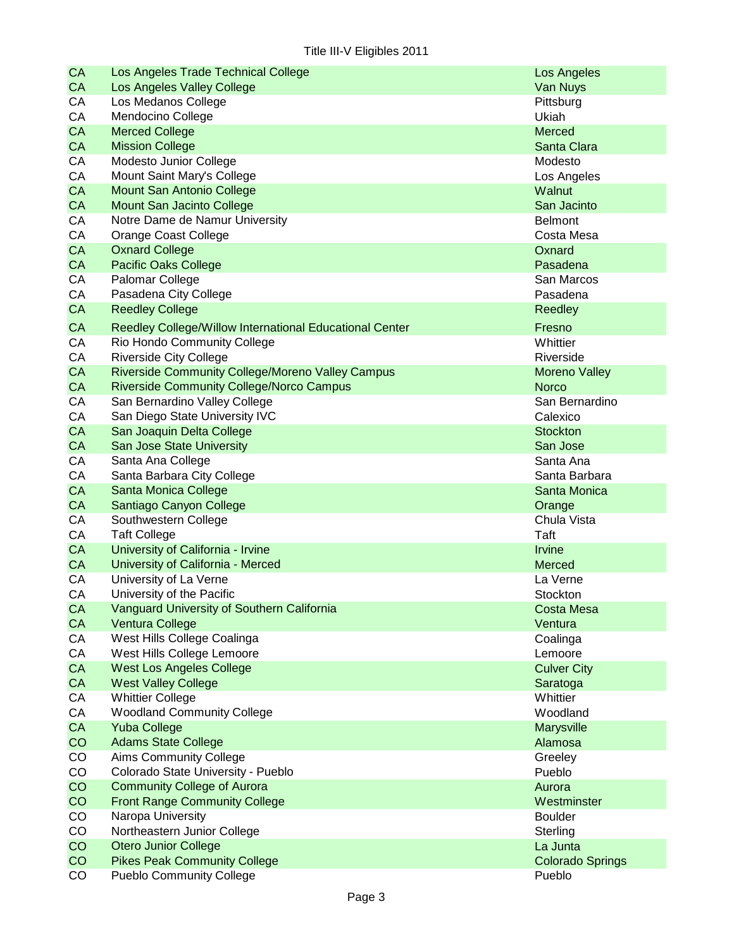| CA              | Los Angeles Trade Technical College                     | Los Angeles                          |
|-----------------|---------------------------------------------------------|--------------------------------------|
| <b>CA</b>       | Los Angeles Valley College                              | Van Nuys                             |
| CA              | Los Medanos College                                     | Pittsburg                            |
| CA              | Mendocino College                                       | Ukiah                                |
| CA              | <b>Merced College</b>                                   | Merced                               |
| <b>CA</b>       | <b>Mission College</b>                                  | Santa Clara                          |
| CA              | Modesto Junior College                                  | Modesto                              |
| CA              | Mount Saint Mary's College                              | Los Angeles                          |
| CA              | <b>Mount San Antonio College</b>                        | Walnut                               |
| <b>CA</b>       | <b>Mount San Jacinto College</b>                        | San Jacinto                          |
| CA              | Notre Dame de Namur University                          | <b>Belmont</b>                       |
| CA              | <b>Orange Coast College</b>                             | Costa Mesa                           |
| CA              | <b>Oxnard College</b>                                   | Oxnard                               |
| <b>CA</b>       | <b>Pacific Oaks College</b>                             | Pasadena                             |
| CA              | Palomar College                                         | San Marcos                           |
| CA              | Pasadena City College                                   | Pasadena                             |
| <b>CA</b>       | <b>Reedley College</b>                                  | Reedley                              |
|                 | Reedley College/Willow International Educational Center |                                      |
| <b>CA</b><br>CA |                                                         | Fresno                               |
|                 | Rio Hondo Community College                             | Whittier                             |
| CA              | <b>Riverside City College</b>                           | Riverside                            |
| <b>CA</b>       | Riverside Community College/Moreno Valley Campus        | <b>Moreno Valley</b><br><b>Norco</b> |
| <b>CA</b>       | <b>Riverside Community College/Norco Campus</b>         |                                      |
| CA              | San Bernardino Valley College                           | San Bernardino                       |
| CA              | San Diego State University IVC                          | Calexico                             |
| CA              | San Joaquin Delta College                               | <b>Stockton</b>                      |
| <b>CA</b>       | <b>San Jose State University</b>                        | San Jose                             |
| CA              | Santa Ana College                                       | Santa Ana                            |
| CA              | Santa Barbara City College                              | Santa Barbara                        |
| CA              | Santa Monica College                                    | Santa Monica                         |
| <b>CA</b>       | Santiago Canyon College                                 | Orange                               |
| CA              | Southwestern College                                    | Chula Vista                          |
| CA              | <b>Taft College</b>                                     | Taft                                 |
| <b>CA</b>       | University of California - Irvine                       | <b>Irvine</b>                        |
| <b>CA</b>       | University of California - Merced                       | <b>Merced</b>                        |
| CA              | University of La Verne                                  | La Verne                             |
| CA              | University of the Pacific                               | Stockton                             |
| <b>CA</b>       | Vanguard University of Southern California              | <b>Costa Mesa</b>                    |
| <b>CA</b>       | <b>Ventura College</b>                                  | Ventura                              |
| CA              | West Hills College Coalinga                             | Coalinga                             |
| CA              | West Hills College Lemoore                              | Lemoore                              |
| CA              | <b>West Los Angeles College</b>                         | <b>Culver City</b>                   |
| CA              | <b>West Valley College</b>                              | Saratoga                             |
| CA              | <b>Whittier College</b>                                 | Whittier                             |
| CA              | <b>Woodland Community College</b>                       | Woodland                             |
| CA              | <b>Yuba College</b>                                     | Marysville                           |
| CO              | <b>Adams State College</b>                              | Alamosa                              |
| CO              | Aims Community College                                  | Greeley                              |
| CO              | Colorado State University - Pueblo                      | Pueblo                               |
| CO              | <b>Community College of Aurora</b>                      | Aurora                               |
| CO              | <b>Front Range Community College</b>                    | Westminster                          |
| CO              | Naropa University                                       | <b>Boulder</b>                       |
| CO              | Northeastern Junior College                             | Sterling                             |
| CO              | <b>Otero Junior College</b>                             | La Junta                             |
| CO              | <b>Pikes Peak Community College</b>                     | <b>Colorado Springs</b>              |
| CO              | <b>Pueblo Community College</b>                         | Pueblo                               |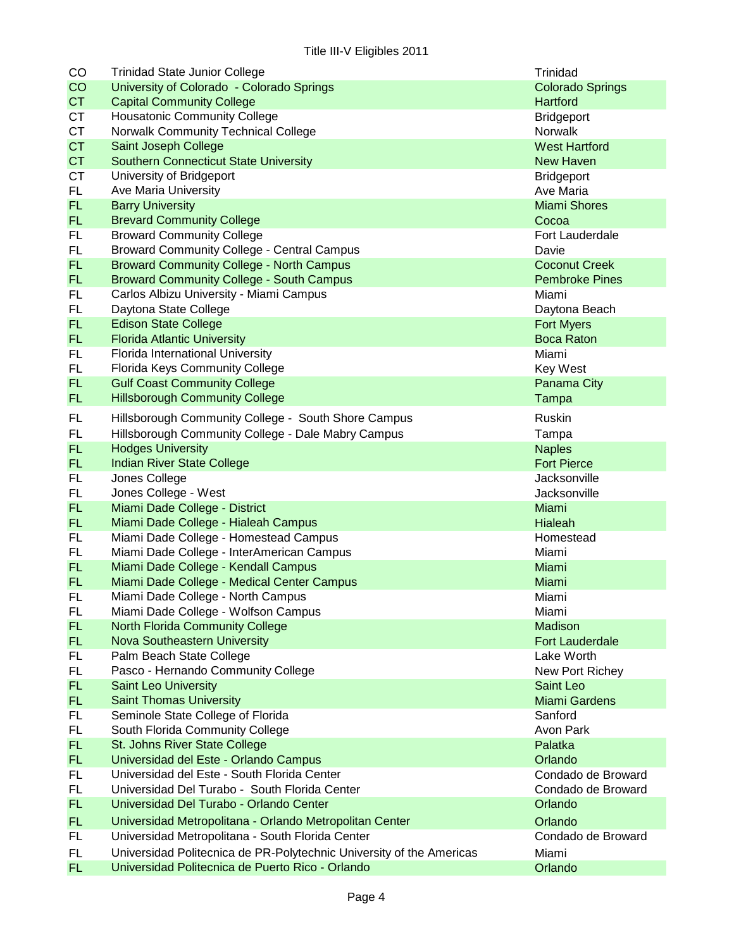| CO              | <b>Trinidad State Junior College</b>                                           | Trinidad                            |
|-----------------|--------------------------------------------------------------------------------|-------------------------------------|
| CO              | University of Colorado - Colorado Springs                                      | <b>Colorado Springs</b>             |
| <b>CT</b>       | <b>Capital Community College</b>                                               | <b>Hartford</b>                     |
| <b>CT</b>       | <b>Housatonic Community College</b>                                            | <b>Bridgeport</b>                   |
| <b>CT</b>       | Norwalk Community Technical College                                            | Norwalk                             |
| <b>CT</b>       | Saint Joseph College                                                           | <b>West Hartford</b>                |
| <b>CT</b>       | <b>Southern Connecticut State University</b>                                   | <b>New Haven</b>                    |
| <b>CT</b>       | University of Bridgeport                                                       | <b>Bridgeport</b>                   |
| FL.             | Ave Maria University                                                           | Ave Maria                           |
| <b>FL</b>       | <b>Barry University</b>                                                        | <b>Miami Shores</b>                 |
| <b>FL</b>       | <b>Brevard Community College</b>                                               | Cocoa                               |
| FL              | <b>Broward Community College</b>                                               | Fort Lauderdale                     |
| FL.             | <b>Broward Community College - Central Campus</b>                              | Davie                               |
| FL.             | <b>Broward Community College - North Campus</b>                                | <b>Coconut Creek</b>                |
| <b>FL</b>       | <b>Broward Community College - South Campus</b>                                | <b>Pembroke Pines</b>               |
| FL.             | Carlos Albizu University - Miami Campus                                        | Miami                               |
| FL.             | Daytona State College                                                          | Daytona Beach                       |
| FL.             | <b>Edison State College</b>                                                    | <b>Fort Myers</b>                   |
| FL.             | <b>Florida Atlantic University</b>                                             | <b>Boca Raton</b>                   |
| FL              | Florida International University                                               | Miami                               |
| <b>FL</b>       | Florida Keys Community College                                                 | <b>Key West</b>                     |
| FL.             | <b>Gulf Coast Community College</b>                                            | Panama City                         |
| <b>FL</b>       | <b>Hillsborough Community College</b>                                          | Tampa                               |
| FL              | Hillsborough Community College - South Shore Campus                            | <b>Ruskin</b>                       |
| <b>FL</b>       |                                                                                |                                     |
| <b>FL</b>       | Hillsborough Community College - Dale Mabry Campus<br><b>Hodges University</b> | Tampa                               |
| <b>FL</b>       |                                                                                | <b>Naples</b><br><b>Fort Pierce</b> |
|                 | Indian River State College                                                     |                                     |
| FL              | Jones College                                                                  | Jacksonville                        |
| FL<br><b>FL</b> | Jones College - West                                                           | Jacksonville                        |
| <b>FL</b>       | Miami Dade College - District                                                  | Miami                               |
|                 | Miami Dade College - Hialeah Campus                                            | Hialeah                             |
| <b>FL</b>       | Miami Dade College - Homestead Campus                                          | Homestead                           |
| FL.             | Miami Dade College - InterAmerican Campus                                      | Miami                               |
| <b>FL</b>       | Miami Dade College - Kendall Campus                                            | Miami                               |
| FL.             | Miami Dade College - Medical Center Campus                                     | Miami                               |
| FL              | Miami Dade College - North Campus                                              | Miami                               |
| FL.             | Miami Dade College - Wolfson Campus                                            | Miami                               |
| <b>FL</b>       | <b>North Florida Community College</b>                                         | Madison<br><b>Fort Lauderdale</b>   |
| FL.             | <b>Nova Southeastern University</b>                                            | Lake Worth                          |
| FL              | Palm Beach State College                                                       |                                     |
| FL              | Pasco - Hernando Community College                                             | New Port Richey                     |
| <b>FL</b>       | <b>Saint Leo University</b>                                                    | Saint Leo                           |
| <b>FL</b>       | <b>Saint Thomas University</b>                                                 | <b>Miami Gardens</b>                |
| <b>FL</b>       | Seminole State College of Florida                                              | Sanford                             |
| FL.             | South Florida Community College                                                | Avon Park                           |
| FL.             | St. Johns River State College                                                  | Palatka                             |
| FL.             | Universidad del Este - Orlando Campus                                          | Orlando                             |
| FL              | Universidad del Este - South Florida Center                                    | Condado de Broward                  |
| FL              | Universidad Del Turabo - South Florida Center                                  | Condado de Broward                  |
| FL.             | Universidad Del Turabo - Orlando Center                                        | Orlando                             |
| <b>FL</b>       | Universidad Metropolitana - Orlando Metropolitan Center                        | Orlando                             |
| FL              | Universidad Metropolitana - South Florida Center                               | Condado de Broward                  |
| FL.             | Universidad Politecnica de PR-Polytechnic University of the Americas           | Miami                               |
| FL.             | Universidad Politecnica de Puerto Rico - Orlando                               | Orlando                             |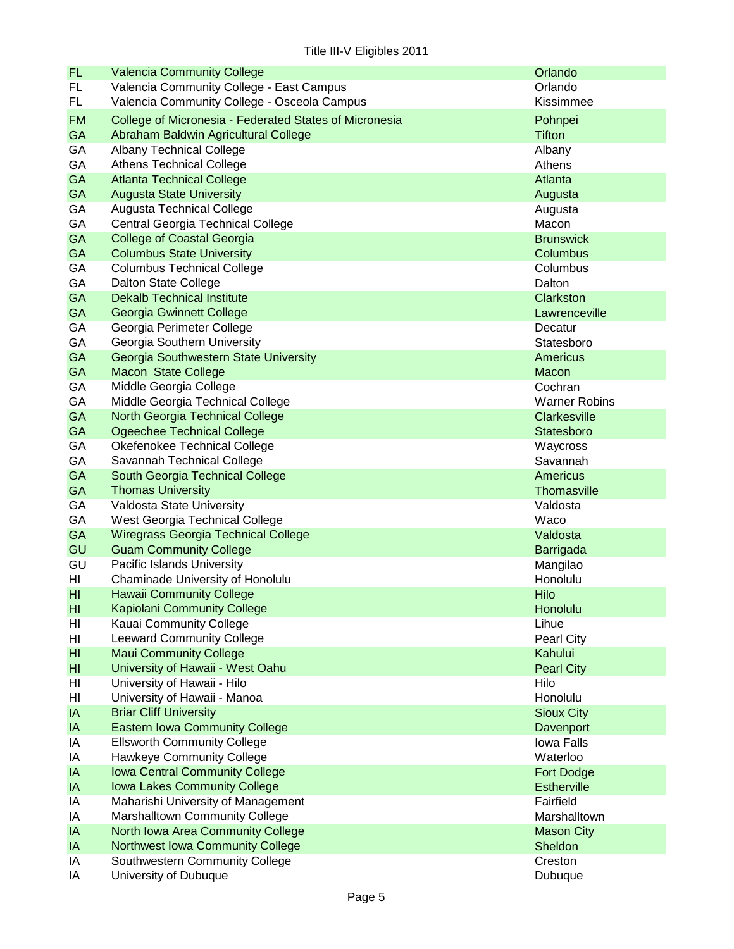| <b>FL</b>       | <b>Valencia Community College</b>                      | Orlando                         |
|-----------------|--------------------------------------------------------|---------------------------------|
| <b>FL</b>       | Valencia Community College - East Campus               | Orlando                         |
| FL              | Valencia Community College - Osceola Campus            | Kissimmee                       |
| <b>FM</b>       | College of Micronesia - Federated States of Micronesia | Pohnpei                         |
| <b>GA</b>       | Abraham Baldwin Agricultural College                   | <b>Tifton</b>                   |
| GA              | <b>Albany Technical College</b>                        | Albany                          |
| GA              | <b>Athens Technical College</b>                        | Athens                          |
| GA              | <b>Atlanta Technical College</b>                       | Atlanta                         |
| <b>GA</b>       | <b>Augusta State University</b>                        | Augusta                         |
| GA              | <b>Augusta Technical College</b>                       | Augusta                         |
| GA              | Central Georgia Technical College                      | Macon                           |
| GA              | <b>College of Coastal Georgia</b>                      | <b>Brunswick</b>                |
| GA              | <b>Columbus State University</b>                       | Columbus                        |
| GA              | <b>Columbus Technical College</b>                      | Columbus                        |
| GA              | Dalton State College                                   | Dalton                          |
| <b>GA</b>       | <b>Dekalb Technical Institute</b>                      | Clarkston                       |
| <b>GA</b>       | Georgia Gwinnett College                               | Lawrenceville                   |
| GA              | Georgia Perimeter College                              | Decatur                         |
| GA              | Georgia Southern University                            | Statesboro                      |
| <b>GA</b>       | Georgia Southwestern State University                  | <b>Americus</b>                 |
| GA              | <b>Macon State College</b>                             |                                 |
|                 |                                                        | Macon                           |
| GA<br>GA        | Middle Georgia College                                 | Cochran<br><b>Warner Robins</b> |
| <b>GA</b>       | Middle Georgia Technical College                       |                                 |
|                 | North Georgia Technical College                        | <b>Clarkesville</b>             |
| GA              | <b>Ogeechee Technical College</b>                      | Statesboro                      |
| GA              | Okefenokee Technical College                           | Waycross                        |
| GA              | Savannah Technical College                             | Savannah                        |
| <b>GA</b>       | South Georgia Technical College                        | <b>Americus</b>                 |
| <b>GA</b>       | <b>Thomas University</b>                               | <b>Thomasville</b>              |
| GA              | Valdosta State University                              | Valdosta                        |
| GA              | West Georgia Technical College                         | Waco                            |
| <b>GA</b>       | <b>Wiregrass Georgia Technical College</b>             | Valdosta                        |
| GU              | <b>Guam Community College</b>                          | Barrigada                       |
| GU              | Pacific Islands University                             | Mangilao                        |
| HI              | Chaminade University of Honolulu                       | Honolulu                        |
| HI              | <b>Hawaii Community College</b>                        | Hilo                            |
| H <sub>II</sub> | <b>Kapiolani Community College</b>                     | Honolulu                        |
| HI              | Kauai Community College                                | Lihue                           |
| HI              | <b>Leeward Community College</b>                       | Pearl City                      |
| H <sub>l</sub>  | <b>Maui Community College</b>                          | Kahului                         |
| HI              | University of Hawaii - West Oahu                       | <b>Pearl City</b>               |
| HI              | University of Hawaii - Hilo                            | Hilo                            |
| HI              | University of Hawaii - Manoa                           | Honolulu                        |
| IA              | <b>Briar Cliff University</b>                          | <b>Sioux City</b>               |
| IA              | <b>Eastern Iowa Community College</b>                  | Davenport                       |
| IA              | <b>Ellsworth Community College</b>                     | Iowa Falls                      |
| IA              | <b>Hawkeye Community College</b>                       | Waterloo                        |
| IA              | <b>Iowa Central Community College</b>                  | Fort Dodge                      |
| IA              | Iowa Lakes Community College                           | <b>Estherville</b>              |
| IA              | Maharishi University of Management                     | Fairfield                       |
| IA              | Marshalltown Community College                         | Marshalltown                    |
| IA              | North Iowa Area Community College                      | <b>Mason City</b>               |
| IA              | <b>Northwest Iowa Community College</b>                | Sheldon                         |
| IA              | Southwestern Community College                         | Creston                         |
| IA              | University of Dubuque                                  | Dubuque                         |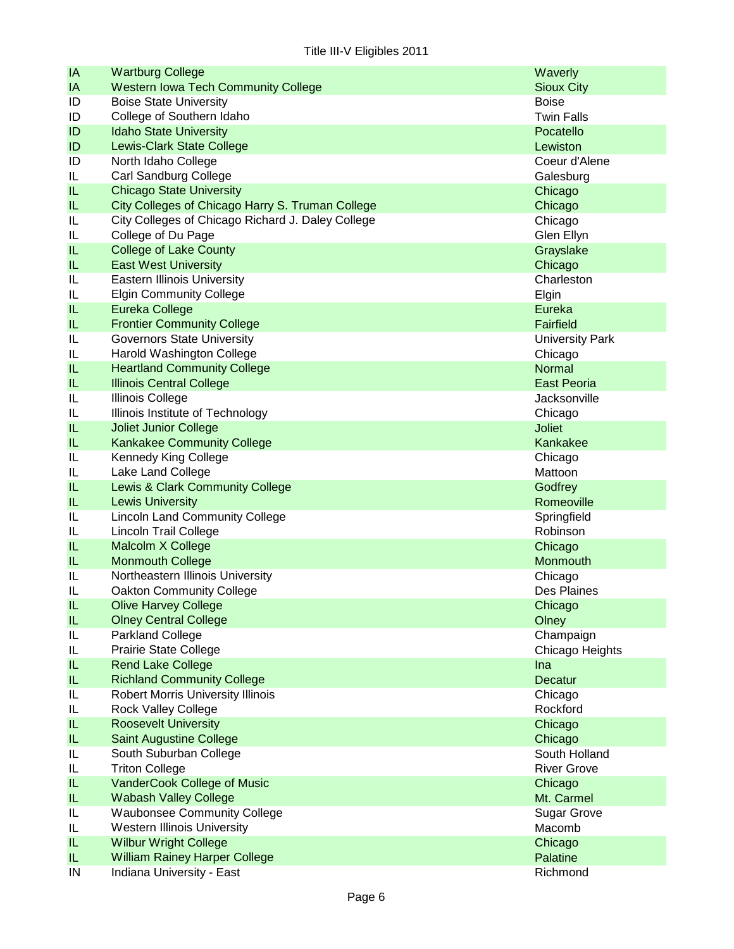| IA                                | <b>Wartburg College</b>                           | Waverly                 |
|-----------------------------------|---------------------------------------------------|-------------------------|
| IA                                | <b>Western Iowa Tech Community College</b>        | <b>Sioux City</b>       |
| ID                                | <b>Boise State University</b>                     | <b>Boise</b>            |
| ID                                | College of Southern Idaho                         | <b>Twin Falls</b>       |
| ID                                | <b>Idaho State University</b>                     | Pocatello               |
| ID                                | <b>Lewis-Clark State College</b>                  | Lewiston                |
| ID                                | North Idaho College                               | Coeur d'Alene           |
| IL                                | Carl Sandburg College                             | Galesburg               |
| IL                                | <b>Chicago State University</b>                   | Chicago                 |
| IL                                | City Colleges of Chicago Harry S. Truman College  | Chicago                 |
| IL                                | City Colleges of Chicago Richard J. Daley College | Chicago                 |
| IL                                | College of Du Page                                | Glen Ellyn              |
| IL                                | <b>College of Lake County</b>                     | Grayslake               |
| IL                                | <b>East West University</b>                       | Chicago                 |
| IL                                | <b>Eastern Illinois University</b>                | Charleston              |
| IL                                | <b>Elgin Community College</b>                    | Elgin                   |
| IL                                | <b>Eureka College</b>                             | Eureka                  |
| IL                                | <b>Frontier Community College</b>                 | <b>Fairfield</b>        |
| IL                                | <b>Governors State University</b>                 | <b>University Park</b>  |
| IL                                | Harold Washington College                         | Chicago                 |
| IL                                | <b>Heartland Community College</b>                | <b>Normal</b>           |
| IL                                | <b>Illinois Central College</b>                   | <b>East Peoria</b>      |
| IL                                | <b>Illinois College</b>                           | Jacksonville            |
| IL                                | Illinois Institute of Technology                  | Chicago                 |
| IL                                | <b>Joliet Junior College</b>                      | <b>Joliet</b>           |
| IL                                | <b>Kankakee Community College</b>                 | Kankakee                |
| IL                                | Kennedy King College                              | Chicago                 |
| IL                                | Lake Land College                                 | Mattoon                 |
| IL                                | Lewis & Clark Community College                   | Godfrey                 |
| IL                                | <b>Lewis University</b>                           | Romeoville              |
| IL                                | <b>Lincoln Land Community College</b>             |                         |
| IL                                | <b>Lincoln Trail College</b>                      | Springfield<br>Robinson |
| IL                                | Malcolm X College                                 | Chicago                 |
| IL                                | <b>Monmouth College</b>                           | Monmouth                |
| IL                                | Northeastern Illinois University                  | Chicago                 |
| IL                                | <b>Oakton Community College</b>                   | Des Plaines             |
| $\sf IL$                          | <b>Olive Harvey College</b>                       | Chicago                 |
| $\ensuremath{\mathsf{IL}}\xspace$ | <b>Olney Central College</b>                      | Olney                   |
| IL                                | Parkland College                                  | Champaign               |
| IL                                | Prairie State College                             | Chicago Heights         |
| IL.                               | <b>Rend Lake College</b>                          | Ina                     |
| IL.                               | <b>Richland Community College</b>                 | <b>Decatur</b>          |
| IL                                | <b>Robert Morris University Illinois</b>          | Chicago                 |
| IL                                | <b>Rock Valley College</b>                        | Rockford                |
| IL.                               | <b>Roosevelt University</b>                       | Chicago                 |
| IL                                | <b>Saint Augustine College</b>                    | Chicago                 |
|                                   |                                                   | South Holland           |
| IL<br>IL                          | South Suburban College<br><b>Triton College</b>   | <b>River Grove</b>      |
|                                   |                                                   |                         |
| IL                                | VanderCook College of Music                       | Chicago                 |
| IL                                | <b>Wabash Valley College</b>                      | Mt. Carmel              |
| IL                                | <b>Waubonsee Community College</b>                | <b>Sugar Grove</b>      |
| IL                                | <b>Western Illinois University</b>                | Macomb                  |
| $\ensuremath{\mathsf{IL}}\xspace$ | <b>Wilbur Wright College</b>                      | Chicago                 |
| IL.                               | <b>William Rainey Harper College</b>              | Palatine                |
| IN                                | Indiana University - East                         | Richmond                |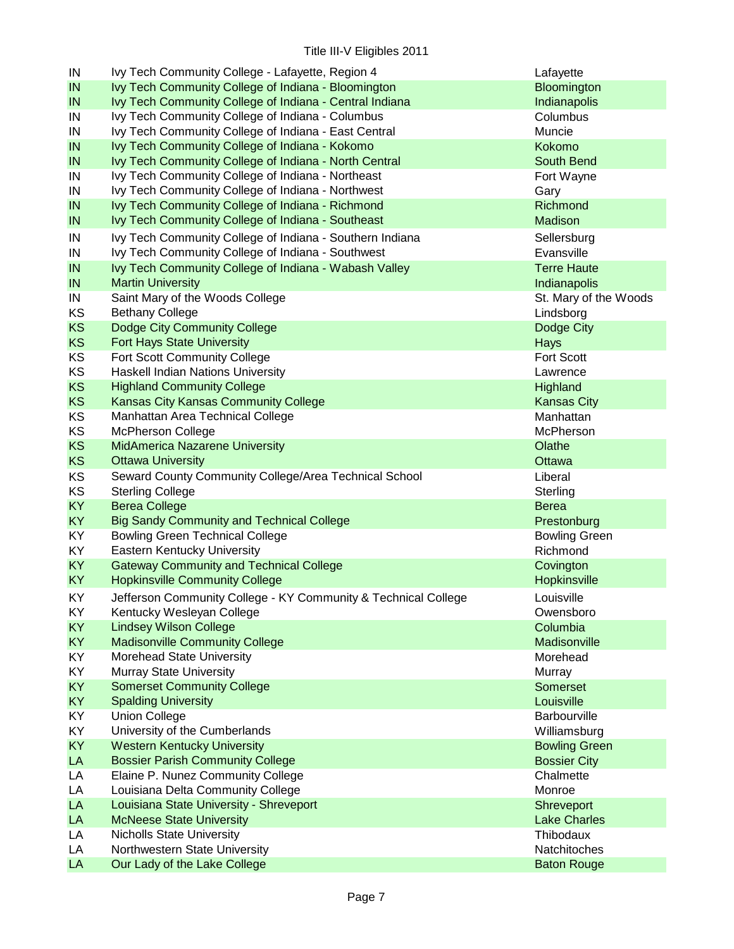| IN        | Ivy Tech Community College - Lafayette, Region 4               | Lafayette                          |
|-----------|----------------------------------------------------------------|------------------------------------|
| IN        | Ivy Tech Community College of Indiana - Bloomington            | Bloomington                        |
| IN        | Ivy Tech Community College of Indiana - Central Indiana        | Indianapolis                       |
| IN        | Ivy Tech Community College of Indiana - Columbus               | Columbus                           |
| IN        | Ivy Tech Community College of Indiana - East Central           | Muncie                             |
| IN        | Ivy Tech Community College of Indiana - Kokomo                 | Kokomo                             |
| IN        | Ivy Tech Community College of Indiana - North Central          | South Bend                         |
| IN        | Ivy Tech Community College of Indiana - Northeast              | Fort Wayne                         |
| IN        | Ivy Tech Community College of Indiana - Northwest              | Gary                               |
| IN        | Ivy Tech Community College of Indiana - Richmond               | Richmond                           |
| IN        | Ivy Tech Community College of Indiana - Southeast              | Madison                            |
| IN        | Ivy Tech Community College of Indiana - Southern Indiana       | Sellersburg                        |
| IN        | Ivy Tech Community College of Indiana - Southwest              | Evansville                         |
| IN        | Ivy Tech Community College of Indiana - Wabash Valley          | <b>Terre Haute</b>                 |
| IN        | <b>Martin University</b>                                       | Indianapolis                       |
| IN        | Saint Mary of the Woods College                                | St. Mary of the Woods              |
| KS        | <b>Bethany College</b>                                         | Lindsborg                          |
| <b>KS</b> | Dodge City Community College                                   | Dodge City                         |
| <b>KS</b> | Fort Hays State University                                     | Hays                               |
| KS        | Fort Scott Community College                                   | Fort Scott                         |
| KS        | Haskell Indian Nations University                              | Lawrence                           |
| <b>KS</b> | <b>Highland Community College</b>                              | Highland                           |
| <b>KS</b> | Kansas City Kansas Community College                           | <b>Kansas City</b>                 |
| KS        | Manhattan Area Technical College                               | Manhattan                          |
| KS        | <b>McPherson College</b>                                       | McPherson                          |
| <b>KS</b> | MidAmerica Nazarene University                                 | Olathe                             |
| <b>KS</b> | <b>Ottawa University</b>                                       | Ottawa                             |
| KS        | Seward County Community College/Area Technical School          | Liberal                            |
| KS        | <b>Sterling College</b>                                        | Sterling                           |
| <b>KY</b> | <b>Berea College</b>                                           | <b>Berea</b>                       |
| <b>KY</b> | <b>Big Sandy Community and Technical College</b>               | Prestonburg                        |
| KY        | <b>Bowling Green Technical College</b>                         | <b>Bowling Green</b>               |
| KY        | Eastern Kentucky University                                    | Richmond                           |
| <b>KY</b> | <b>Gateway Community and Technical College</b>                 | Covington                          |
| KY        | <b>Hopkinsville Community College</b>                          | Hopkinsville                       |
| KY.       | Jefferson Community College - KY Community & Technical College | Louisville                         |
| KY.       | Kentucky Wesleyan College                                      | Owensboro                          |
| <b>KY</b> | <b>Lindsey Wilson College</b>                                  | Columbia                           |
| <b>KY</b> | <b>Madisonville Community College</b>                          | Madisonville                       |
| KY        | Morehead State University                                      | Morehead                           |
| KY        | <b>Murray State University</b>                                 | Murray                             |
| <b>KY</b> | <b>Somerset Community College</b>                              | Somerset                           |
| <b>KY</b> | <b>Spalding University</b>                                     | Louisville                         |
| KY        | <b>Union College</b>                                           | Barbourville                       |
| KY        | University of the Cumberlands                                  | Williamsburg                       |
| <b>KY</b> | <b>Western Kentucky University</b>                             | <b>Bowling Green</b>               |
| LA        | <b>Bossier Parish Community College</b>                        | <b>Bossier City</b>                |
| LA        | Elaine P. Nunez Community College                              | Chalmette                          |
| LA        | Louisiana Delta Community College                              | Monroe                             |
| LA        |                                                                | Shreveport                         |
|           | Louisiana State University - Shreveport                        |                                    |
| LA        | <b>McNeese State University</b>                                | <b>Lake Charles</b>                |
| LA        | <b>Nicholls State University</b>                               | Thibodaux                          |
| LA<br>LA  | Northwestern State University<br>Our Lady of the Lake College  | Natchitoches<br><b>Baton Rouge</b> |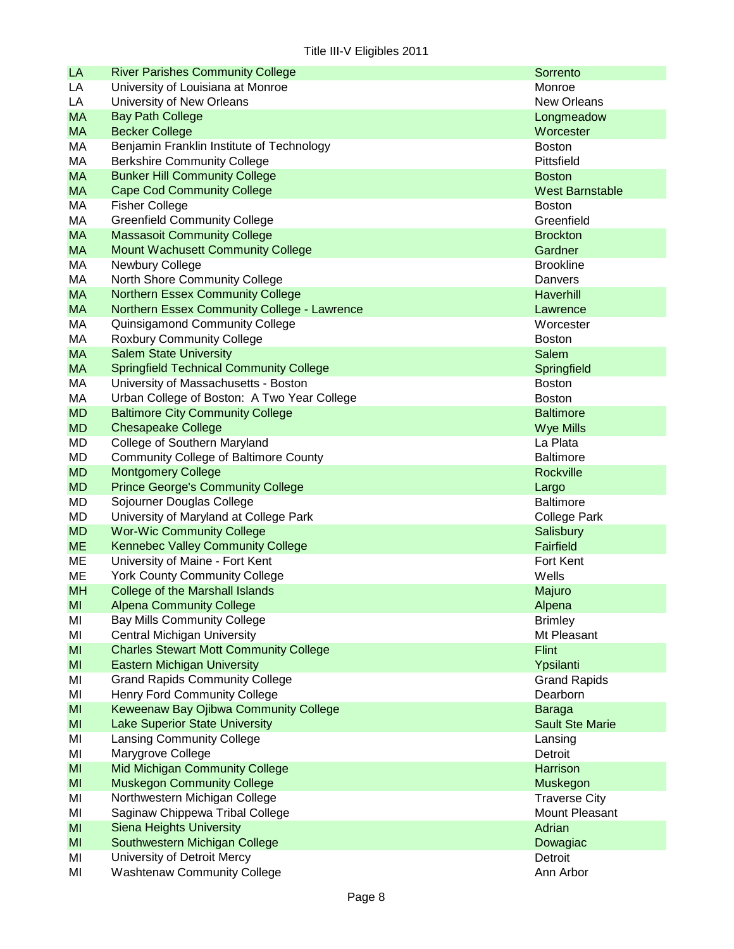| LA        | <b>River Parishes Community College</b>        | Sorrento               |
|-----------|------------------------------------------------|------------------------|
| LA        | University of Louisiana at Monroe              | Monroe                 |
| LA        | University of New Orleans                      | <b>New Orleans</b>     |
| <b>MA</b> | <b>Bay Path College</b>                        | Longmeadow             |
| <b>MA</b> | <b>Becker College</b>                          | Worcester              |
| МA        | Benjamin Franklin Institute of Technology      | <b>Boston</b>          |
| МA        | <b>Berkshire Community College</b>             | Pittsfield             |
| <b>MA</b> | <b>Bunker Hill Community College</b>           | <b>Boston</b>          |
| <b>MA</b> | <b>Cape Cod Community College</b>              | <b>West Barnstable</b> |
| МA        | <b>Fisher College</b>                          | <b>Boston</b>          |
| МA        | <b>Greenfield Community College</b>            | Greenfield             |
| <b>MA</b> | <b>Massasoit Community College</b>             | <b>Brockton</b>        |
| <b>MA</b> | <b>Mount Wachusett Community College</b>       | Gardner                |
| МA        | Newbury College                                | <b>Brookline</b>       |
| МA        | North Shore Community College                  | Danvers                |
| <b>MA</b> | <b>Northern Essex Community College</b>        | Haverhill              |
| <b>MA</b> | Northern Essex Community College - Lawrence    | Lawrence               |
| МA        | Quinsigamond Community College                 | Worcester              |
| МA        | <b>Roxbury Community College</b>               | <b>Boston</b>          |
| <b>MA</b> | <b>Salem State University</b>                  | <b>Salem</b>           |
| <b>MA</b> | <b>Springfield Technical Community College</b> | Springfield            |
| МA        | University of Massachusetts - Boston           | <b>Boston</b>          |
| МA        | Urban College of Boston: A Two Year College    | <b>Boston</b>          |
| <b>MD</b> | <b>Baltimore City Community College</b>        | <b>Baltimore</b>       |
| <b>MD</b> | <b>Chesapeake College</b>                      | <b>Wye Mills</b>       |
| MD        | College of Southern Maryland                   | La Plata               |
| MD        | <b>Community College of Baltimore County</b>   | <b>Baltimore</b>       |
| <b>MD</b> | <b>Montgomery College</b>                      | Rockville              |
| <b>MD</b> | <b>Prince George's Community College</b>       | Largo                  |
| MD        | Sojourner Douglas College                      | <b>Baltimore</b>       |
| MD        | University of Maryland at College Park         | <b>College Park</b>    |
| <b>MD</b> | <b>Wor-Wic Community College</b>               | Salisbury              |
| <b>ME</b> | Kennebec Valley Community College              | <b>Fairfield</b>       |
| ME        | University of Maine - Fort Kent                | Fort Kent              |
| ME        | <b>York County Community College</b>           | Wells                  |
| <b>MH</b> | College of the Marshall Islands                | Majuro                 |
| MI        | <b>Alpena Community College</b>                | Alpena                 |
| MI        | <b>Bay Mills Community College</b>             | <b>Brimley</b>         |
| MI        | <b>Central Michigan University</b>             | Mt Pleasant            |
| MI        | <b>Charles Stewart Mott Community College</b>  | <b>Flint</b>           |
| MI        | <b>Eastern Michigan University</b>             | Ypsilanti              |
| MI        | <b>Grand Rapids Community College</b>          | <b>Grand Rapids</b>    |
| MI        | <b>Henry Ford Community College</b>            | Dearborn               |
| MI        | Keweenaw Bay Ojibwa Community College          | Baraga                 |
| MI        | <b>Lake Superior State University</b>          | <b>Sault Ste Marie</b> |
| MI        | <b>Lansing Community College</b>               | Lansing                |
| MI        | Marygrove College                              | Detroit                |
| MI        | <b>Mid Michigan Community College</b>          | Harrison               |
| MI        | <b>Muskegon Community College</b>              | Muskegon               |
| MI        | Northwestern Michigan College                  | <b>Traverse City</b>   |
| MI        | Saginaw Chippewa Tribal College                | Mount Pleasant         |
| MI        | <b>Siena Heights University</b>                | Adrian                 |
| MI        | Southwestern Michigan College                  | Dowagiac               |
| MI        | University of Detroit Mercy                    | Detroit                |
| MI        | <b>Washtenaw Community College</b>             | Ann Arbor              |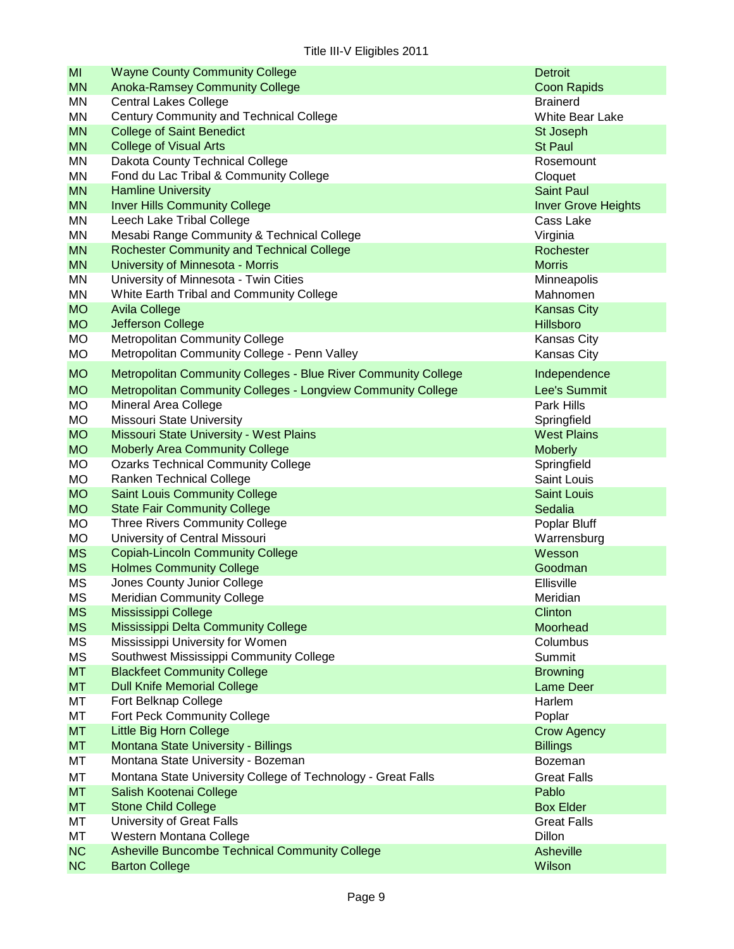| MI              | <b>Wayne County Community College</b>                          | <b>Detroit</b>             |
|-----------------|----------------------------------------------------------------|----------------------------|
| <b>MN</b>       | <b>Anoka-Ramsey Community College</b>                          | <b>Coon Rapids</b>         |
| MN              | <b>Central Lakes College</b>                                   | <b>Brainerd</b>            |
| MN              | Century Community and Technical College                        | White Bear Lake            |
| <b>MN</b>       | <b>College of Saint Benedict</b>                               | St Joseph                  |
| <b>MN</b>       | <b>College of Visual Arts</b>                                  | <b>St Paul</b>             |
| MN              | Dakota County Technical College                                | Rosemount                  |
| MN              | Fond du Lac Tribal & Community College                         | Cloquet                    |
| <b>MN</b>       | <b>Hamline University</b>                                      | <b>Saint Paul</b>          |
| <b>MN</b>       | <b>Inver Hills Community College</b>                           | <b>Inver Grove Heights</b> |
| MN              | Leech Lake Tribal College                                      | Cass Lake                  |
| MN              | Mesabi Range Community & Technical College                     | Virginia                   |
| <b>MN</b>       | <b>Rochester Community and Technical College</b>               | Rochester                  |
| <b>MN</b>       | University of Minnesota - Morris                               | <b>Morris</b>              |
| ΜN              | University of Minnesota - Twin Cities                          | Minneapolis                |
| MN              | White Earth Tribal and Community College                       | Mahnomen                   |
| <b>MO</b>       | <b>Avila College</b>                                           | <b>Kansas City</b>         |
| <b>MO</b>       | Jefferson College                                              | Hillsboro                  |
| <b>MO</b>       | Metropolitan Community College                                 | Kansas City                |
| <b>MO</b>       | Metropolitan Community College - Penn Valley                   | Kansas City                |
| <b>MO</b>       | Metropolitan Community Colleges - Blue River Community College | Independence               |
| <b>MO</b>       | Metropolitan Community Colleges - Longview Community College   | Lee's Summit               |
| <b>MO</b>       | Mineral Area College                                           | Park Hills                 |
| <b>MO</b>       | <b>Missouri State University</b>                               | Springfield                |
| <b>MO</b>       | Missouri State University - West Plains                        | <b>West Plains</b>         |
| <b>MO</b>       | <b>Moberly Area Community College</b>                          | <b>Moberly</b>             |
| <b>MO</b>       | <b>Ozarks Technical Community College</b>                      | Springfield                |
| <b>MO</b>       | Ranken Technical College                                       | Saint Louis                |
| <b>MO</b>       | <b>Saint Louis Community College</b>                           | <b>Saint Louis</b>         |
| <b>MO</b>       | <b>State Fair Community College</b>                            | Sedalia                    |
| <b>MO</b>       | Three Rivers Community College                                 | Poplar Bluff               |
| <b>MO</b>       | University of Central Missouri                                 | Warrensburg                |
| <b>MS</b>       | <b>Copiah-Lincoln Community College</b>                        | Wesson<br>Goodman          |
| <b>MS</b>       | <b>Holmes Community College</b>                                | Ellisville                 |
| <b>MS</b>       | Jones County Junior College                                    |                            |
| MS<br><b>MS</b> | <b>Meridian Community College</b><br>Mississippi College       | Meridian<br>Clinton        |
| <b>MS</b>       | Mississippi Delta Community College                            | Moorhead                   |
| MS              | Mississippi University for Women                               | Columbus                   |
| MS              | Southwest Mississippi Community College                        | Summit                     |
| <b>MT</b>       | <b>Blackfeet Community College</b>                             | <b>Browning</b>            |
| <b>MT</b>       | <b>Dull Knife Memorial College</b>                             | Lame Deer                  |
| МT              | Fort Belknap College                                           | Harlem                     |
| MT              | Fort Peck Community College                                    | Poplar                     |
| <b>MT</b>       | <b>Little Big Horn College</b>                                 | <b>Crow Agency</b>         |
| <b>MT</b>       | Montana State University - Billings                            | <b>Billings</b>            |
| МT              | Montana State University - Bozeman                             | Bozeman                    |
| MT              | Montana State University College of Technology - Great Falls   | <b>Great Falls</b>         |
| <b>MT</b>       | Salish Kootenai College                                        | Pablo                      |
| <b>MT</b>       | <b>Stone Child College</b>                                     | <b>Box Elder</b>           |
| МT              | University of Great Falls                                      | <b>Great Falls</b>         |
| MT              | Western Montana College                                        | Dillon                     |
| <b>NC</b>       | <b>Asheville Buncombe Technical Community College</b>          | <b>Asheville</b>           |
| <b>NC</b>       | <b>Barton College</b>                                          | Wilson                     |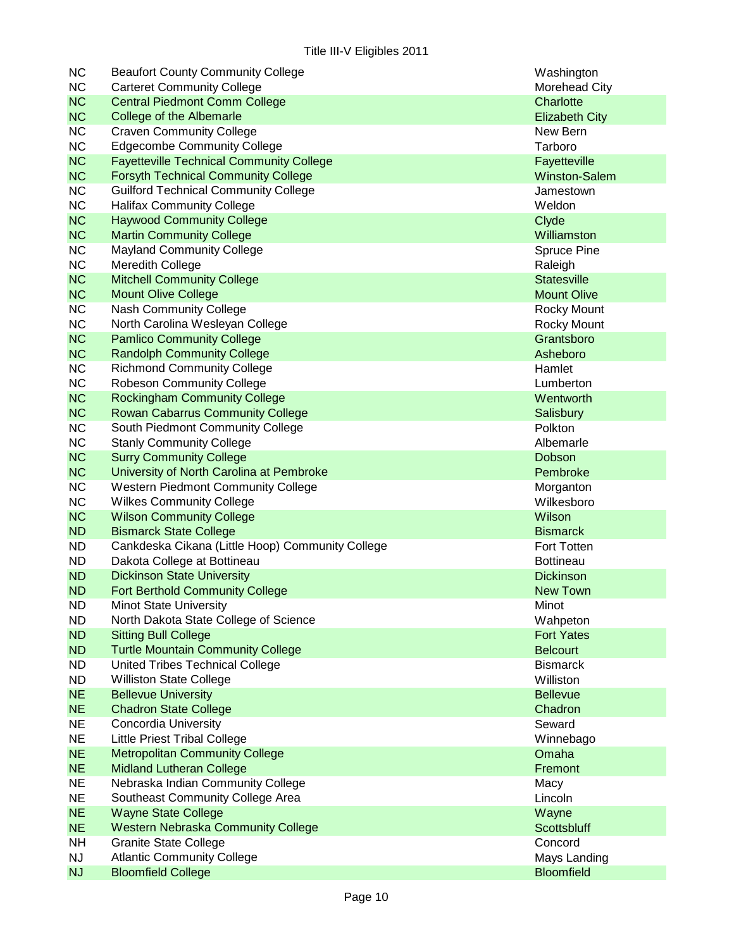| <b>NC</b> | <b>Beaufort County Community College</b>         | Washington            |
|-----------|--------------------------------------------------|-----------------------|
| <b>NC</b> | <b>Carteret Community College</b>                | <b>Morehead City</b>  |
| <b>NC</b> | <b>Central Piedmont Comm College</b>             | Charlotte             |
| <b>NC</b> | College of the Albemarle                         | <b>Elizabeth City</b> |
| <b>NC</b> | <b>Craven Community College</b>                  | New Bern              |
| <b>NC</b> | <b>Edgecombe Community College</b>               | Tarboro               |
| <b>NC</b> | <b>Fayetteville Technical Community College</b>  | Fayetteville          |
| <b>NC</b> | <b>Forsyth Technical Community College</b>       | <b>Winston-Salem</b>  |
| <b>NC</b> | <b>Guilford Technical Community College</b>      | Jamestown             |
| <b>NC</b> | <b>Halifax Community College</b>                 | Weldon                |
| <b>NC</b> | <b>Haywood Community College</b>                 | Clyde                 |
| <b>NC</b> | <b>Martin Community College</b>                  | Williamston           |
| <b>NC</b> | <b>Mayland Community College</b>                 | Spruce Pine           |
| <b>NC</b> | Meredith College                                 | Raleigh               |
| <b>NC</b> | <b>Mitchell Community College</b>                | <b>Statesville</b>    |
| <b>NC</b> | <b>Mount Olive College</b>                       | <b>Mount Olive</b>    |
| <b>NC</b> | Nash Community College                           | Rocky Mount           |
| <b>NC</b> | North Carolina Wesleyan College                  | <b>Rocky Mount</b>    |
| <b>NC</b> | <b>Pamlico Community College</b>                 | Grantsboro            |
| <b>NC</b> | <b>Randolph Community College</b>                | Asheboro              |
| <b>NC</b> | <b>Richmond Community College</b>                | Hamlet                |
| <b>NC</b> | <b>Robeson Community College</b>                 | Lumberton             |
| <b>NC</b> | <b>Rockingham Community College</b>              | Wentworth             |
| <b>NC</b> | <b>Rowan Cabarrus Community College</b>          | Salisbury             |
| <b>NC</b> | South Piedmont Community College                 | Polkton               |
| <b>NC</b> | <b>Stanly Community College</b>                  | Albemarle             |
| <b>NC</b> | <b>Surry Community College</b>                   | Dobson                |
| <b>NC</b> | University of North Carolina at Pembroke         | Pembroke              |
| <b>NC</b> | <b>Western Piedmont Community College</b>        | Morganton             |
| <b>NC</b> | <b>Wilkes Community College</b>                  | Wilkesboro            |
| <b>NC</b> | <b>Wilson Community College</b>                  | Wilson                |
| <b>ND</b> | <b>Bismarck State College</b>                    | <b>Bismarck</b>       |
| <b>ND</b> | Cankdeska Cikana (Little Hoop) Community College | Fort Totten           |
| <b>ND</b> | Dakota College at Bottineau                      | <b>Bottineau</b>      |
| <b>ND</b> | <b>Dickinson State University</b>                | <b>Dickinson</b>      |
| <b>ND</b> | <b>Fort Berthold Community College</b>           | <b>New Town</b>       |
| ND        | <b>Minot State University</b>                    | Minot                 |
| <b>ND</b> | North Dakota State College of Science            | Wahpeton              |
| <b>ND</b> | <b>Sitting Bull College</b>                      | <b>Fort Yates</b>     |
| <b>ND</b> | <b>Turtle Mountain Community College</b>         | <b>Belcourt</b>       |
| <b>ND</b> | <b>United Tribes Technical College</b>           | <b>Bismarck</b>       |
| <b>ND</b> | <b>Williston State College</b>                   | Williston             |
| <b>NE</b> | <b>Bellevue University</b>                       | <b>Bellevue</b>       |
| <b>NE</b> | <b>Chadron State College</b>                     | Chadron               |
| <b>NE</b> | <b>Concordia University</b>                      | Seward                |
| <b>NE</b> | <b>Little Priest Tribal College</b>              | Winnebago             |
| <b>NE</b> | <b>Metropolitan Community College</b>            | Omaha                 |
| <b>NE</b> | <b>Midland Lutheran College</b>                  | Fremont               |
| <b>NE</b> | Nebraska Indian Community College                | Macy                  |
| <b>NE</b> | Southeast Community College Area                 | Lincoln               |
| <b>NE</b> | <b>Wayne State College</b>                       | Wayne                 |
| <b>NE</b> | <b>Western Nebraska Community College</b>        | <b>Scottsbluff</b>    |
| <b>NH</b> | <b>Granite State College</b>                     | Concord               |
| <b>NJ</b> | <b>Atlantic Community College</b>                | Mays Landing          |
| <b>NJ</b> | <b>Bloomfield College</b>                        | <b>Bloomfield</b>     |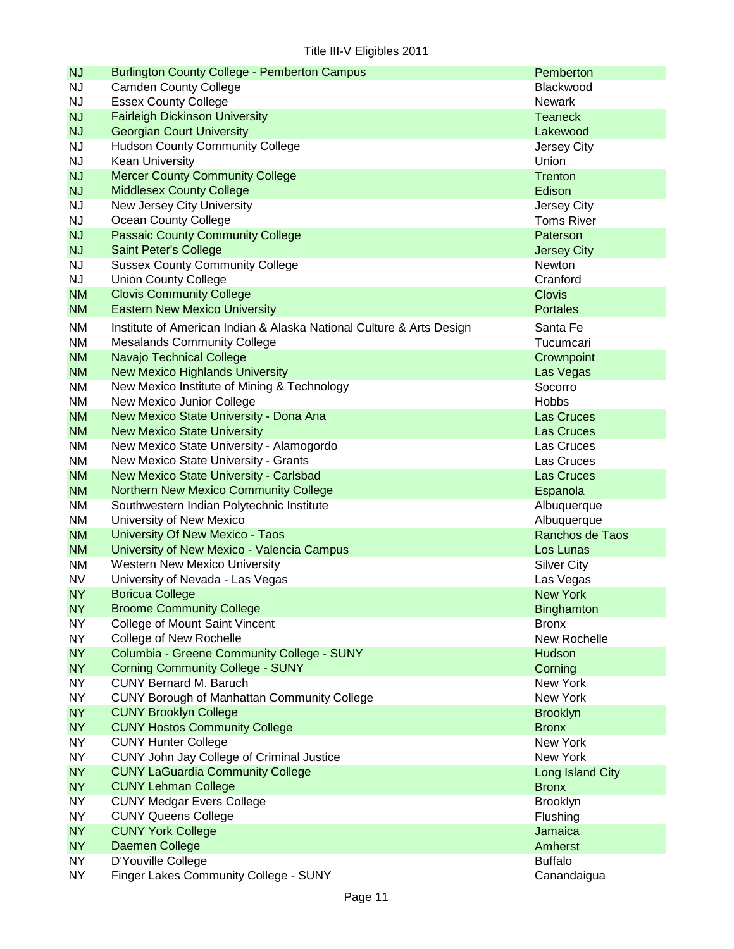| <b>NJ</b> | <b>Burlington County College - Pemberton Campus</b>                  | Pemberton            |
|-----------|----------------------------------------------------------------------|----------------------|
| <b>NJ</b> | <b>Camden County College</b>                                         | Blackwood            |
| <b>NJ</b> | <b>Essex County College</b>                                          | <b>Newark</b>        |
| <b>NJ</b> | <b>Fairleigh Dickinson University</b>                                | <b>Teaneck</b>       |
| <b>NJ</b> | <b>Georgian Court University</b>                                     | Lakewood             |
| <b>NJ</b> | <b>Hudson County Community College</b>                               | Jersey City          |
| <b>NJ</b> | <b>Kean University</b>                                               | Union                |
| <b>NJ</b> | <b>Mercer County Community College</b>                               | Trenton              |
| <b>NJ</b> | <b>Middlesex County College</b>                                      | Edison               |
| <b>NJ</b> | New Jersey City University                                           | Jersey City          |
| <b>NJ</b> | Ocean County College                                                 | <b>Toms River</b>    |
| <b>NJ</b> | <b>Passaic County Community College</b>                              | Paterson             |
| <b>NJ</b> | Saint Peter's College                                                | <b>Jersey City</b>   |
| <b>NJ</b> | <b>Sussex County Community College</b>                               | <b>Newton</b>        |
| <b>NJ</b> | <b>Union County College</b>                                          | Cranford             |
| <b>NM</b> | <b>Clovis Community College</b>                                      | <b>Clovis</b>        |
| <b>NM</b> | <b>Eastern New Mexico University</b>                                 | <b>Portales</b>      |
| NM        | Institute of American Indian & Alaska National Culture & Arts Design | Santa Fe             |
| NM        | <b>Mesalands Community College</b>                                   | Tucumcari            |
| <b>NM</b> | Navajo Technical College                                             |                      |
| <b>NM</b> | <b>New Mexico Highlands University</b>                               | Crownpoint           |
| NM        | New Mexico Institute of Mining & Technology                          | Las Vegas<br>Socorro |
| <b>NM</b> | New Mexico Junior College                                            | <b>Hobbs</b>         |
| <b>NM</b> | New Mexico State University - Dona Ana                               | Las Cruces           |
|           |                                                                      |                      |
| <b>NM</b> | <b>New Mexico State University</b>                                   | Las Cruces           |
| <b>NM</b> | New Mexico State University - Alamogordo                             | Las Cruces           |
| <b>NM</b> | New Mexico State University - Grants                                 | Las Cruces           |
| <b>NM</b> | New Mexico State University - Carlsbad                               | Las Cruces           |
| <b>NM</b> | Northern New Mexico Community College                                | Espanola             |
| <b>NM</b> | Southwestern Indian Polytechnic Institute                            | Albuquerque          |
| <b>NM</b> | University of New Mexico                                             | Albuquerque          |
| <b>NM</b> | University Of New Mexico - Taos                                      | Ranchos de Taos      |
| <b>NM</b> | University of New Mexico - Valencia Campus                           | Los Lunas            |
| <b>NM</b> | <b>Western New Mexico University</b>                                 | <b>Silver City</b>   |
| <b>NV</b> | University of Nevada - Las Vegas                                     | Las Vegas            |
| <b>NY</b> | <b>Boricua College</b>                                               | <b>New York</b>      |
| <b>NY</b> | <b>Broome Community College</b>                                      | Binghamton           |
| <b>NY</b> | College of Mount Saint Vincent                                       | <b>Bronx</b>         |
| <b>NY</b> | College of New Rochelle                                              | New Rochelle         |
| <b>NY</b> | Columbia - Greene Community College - SUNY                           | Hudson               |
| <b>NY</b> | <b>Corning Community College - SUNY</b>                              | Corning              |
| <b>NY</b> | <b>CUNY Bernard M. Baruch</b>                                        | New York             |
| <b>NY</b> | <b>CUNY Borough of Manhattan Community College</b>                   | New York             |
| <b>NY</b> | <b>CUNY Brooklyn College</b>                                         | <b>Brooklyn</b>      |
| <b>NY</b> | <b>CUNY Hostos Community College</b>                                 | <b>Bronx</b>         |
| <b>NY</b> | <b>CUNY Hunter College</b>                                           | New York             |
| <b>NY</b> | CUNY John Jay College of Criminal Justice                            | New York             |
| <b>NY</b> | <b>CUNY LaGuardia Community College</b>                              | Long Island City     |
| <b>NY</b> | <b>CUNY Lehman College</b>                                           | <b>Bronx</b>         |
| <b>NY</b> | <b>CUNY Medgar Evers College</b>                                     | <b>Brooklyn</b>      |
| <b>NY</b> | <b>CUNY Queens College</b>                                           | Flushing             |
| <b>NY</b> | <b>CUNY York College</b>                                             | Jamaica              |
| <b>NY</b> | Daemen College                                                       | Amherst              |
| <b>NY</b> | D'Youville College                                                   | <b>Buffalo</b>       |
| <b>NY</b> | Finger Lakes Community College - SUNY                                | Canandaigua          |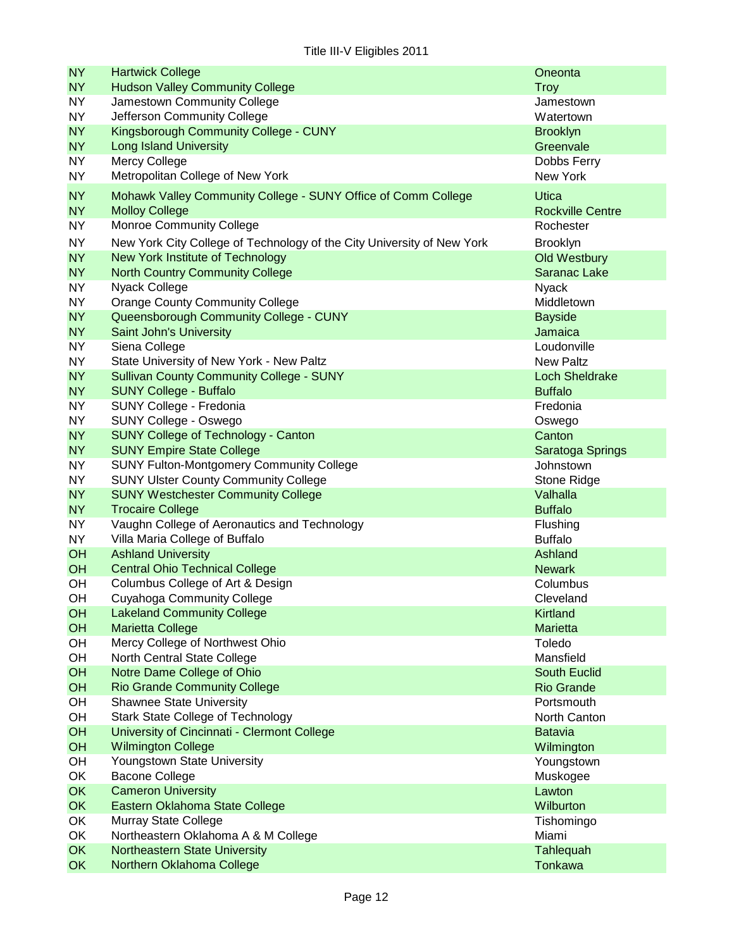| <b>NY</b>              | <b>Hartwick College</b>                                                | Oneonta                             |
|------------------------|------------------------------------------------------------------------|-------------------------------------|
| <b>NY</b><br><b>NY</b> | <b>Hudson Valley Community College</b>                                 | <b>Troy</b>                         |
| <b>NY</b>              | Jamestown Community College<br>Jefferson Community College             | Jamestown<br>Watertown              |
| <b>NY</b>              | Kingsborough Community College - CUNY                                  | <b>Brooklyn</b>                     |
| <b>NY</b>              | <b>Long Island University</b>                                          | Greenvale                           |
| <b>NY</b>              | Mercy College                                                          | Dobbs Ferry                         |
| <b>NY</b>              | Metropolitan College of New York                                       | New York                            |
|                        |                                                                        |                                     |
| <b>NY</b>              | Mohawk Valley Community College - SUNY Office of Comm College          | <b>Utica</b>                        |
| <b>NY</b><br><b>NY</b> | <b>Molloy College</b><br><b>Monroe Community College</b>               | <b>Rockville Centre</b>             |
|                        |                                                                        | Rochester                           |
| <b>NY</b>              | New York City College of Technology of the City University of New York | <b>Brooklyn</b>                     |
| <b>NY</b><br>NY        | New York Institute of Technology                                       | <b>Old Westbury</b><br>Saranac Lake |
| <b>NY</b>              | <b>North Country Community College</b><br>Nyack College                | <b>Nyack</b>                        |
| <b>NY</b>              | <b>Orange County Community College</b>                                 | Middletown                          |
| <b>NY</b>              | Queensborough Community College - CUNY                                 | <b>Bayside</b>                      |
| <b>NY</b>              | Saint John's University                                                | Jamaica                             |
| <b>NY</b>              | Siena College                                                          | Loudonville                         |
| <b>NY</b>              | State University of New York - New Paltz                               | <b>New Paltz</b>                    |
| <b>NY</b>              | <b>Sullivan County Community College - SUNY</b>                        | <b>Loch Sheldrake</b>               |
| <b>NY</b>              | <b>SUNY College - Buffalo</b>                                          | <b>Buffalo</b>                      |
| <b>NY</b>              | SUNY College - Fredonia                                                | Fredonia                            |
| <b>NY</b>              | SUNY College - Oswego                                                  | Oswego                              |
| <b>NY</b>              | <b>SUNY College of Technology - Canton</b>                             | Canton                              |
| <b>NY</b>              | <b>SUNY Empire State College</b>                                       | Saratoga Springs                    |
| <b>NY</b>              | <b>SUNY Fulton-Montgomery Community College</b>                        | Johnstown                           |
| <b>NY</b>              | <b>SUNY Ulster County Community College</b>                            | Stone Ridge                         |
| <b>NY</b>              | <b>SUNY Westchester Community College</b>                              | Valhalla                            |
| NY                     | <b>Trocaire College</b>                                                | <b>Buffalo</b>                      |
| <b>NY</b>              | Vaughn College of Aeronautics and Technology                           | Flushing                            |
| <b>NY</b>              | Villa Maria College of Buffalo                                         | <b>Buffalo</b>                      |
| OH                     | <b>Ashland University</b><br><b>Central Ohio Technical College</b>     | Ashland                             |
| OH<br>OH               | Columbus College of Art & Design                                       | <b>Newark</b><br>Columbus           |
| OH                     | <b>Cuyahoga Community College</b>                                      | Cleveland                           |
| <b>OH</b>              | <b>Lakeland Community College</b>                                      | Kirtland                            |
| OH                     | <b>Marietta College</b>                                                | Marietta                            |
| OH                     | Mercy College of Northwest Ohio                                        | Toledo                              |
| OH                     | North Central State College                                            | Mansfield                           |
| OH                     | Notre Dame College of Ohio                                             | <b>South Euclid</b>                 |
| OH                     | <b>Rio Grande Community College</b>                                    | <b>Rio Grande</b>                   |
| OH                     | <b>Shawnee State University</b>                                        | Portsmouth                          |
| OH                     | <b>Stark State College of Technology</b>                               | North Canton                        |
| OH                     | University of Cincinnati - Clermont College                            | <b>Batavia</b>                      |
| OH                     | <b>Wilmington College</b>                                              | Wilmington                          |
| OH                     | Youngstown State University                                            | Youngstown                          |
| OK                     | <b>Bacone College</b>                                                  | Muskogee                            |
| <b>OK</b>              | <b>Cameron University</b>                                              | Lawton                              |
| <b>OK</b>              | Eastern Oklahoma State College                                         | Wilburton                           |
| OK                     | Murray State College                                                   | Tishomingo                          |
| OK                     | Northeastern Oklahoma A & M College                                    | Miami                               |
| <b>OK</b>              | <b>Northeastern State University</b>                                   | Tahlequah                           |
| <b>OK</b>              | Northern Oklahoma College                                              | <b>Tonkawa</b>                      |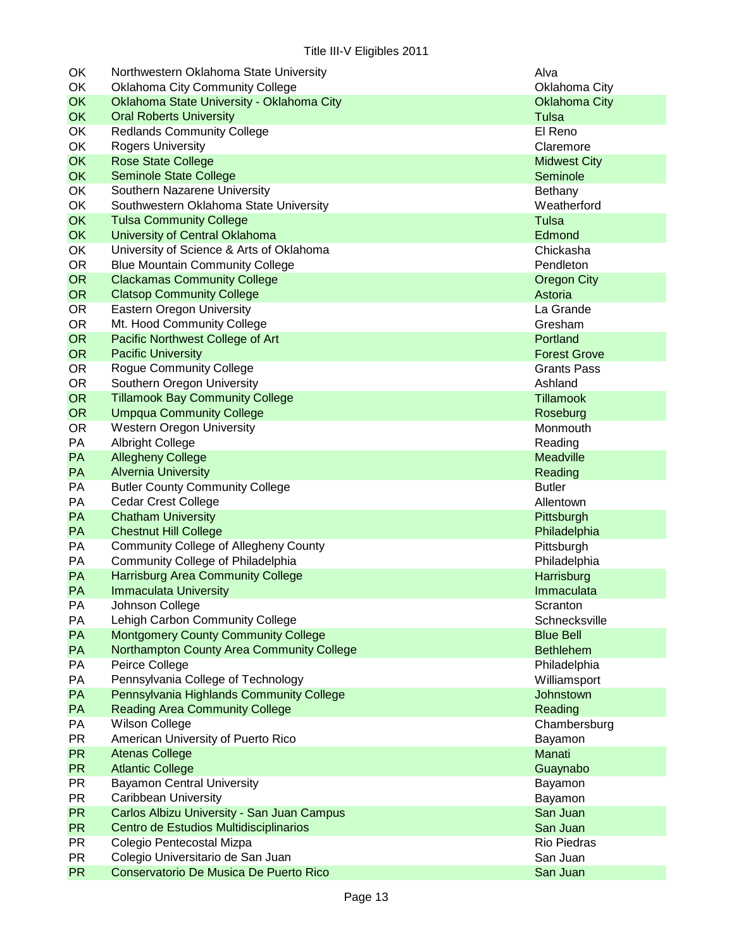| OK        | Northwestern Oklahoma State University       | Alva                 |
|-----------|----------------------------------------------|----------------------|
| OK        | <b>Oklahoma City Community College</b>       | Oklahoma City        |
| <b>OK</b> | Oklahoma State University - Oklahoma City    | <b>Oklahoma City</b> |
| <b>OK</b> | <b>Oral Roberts University</b>               | Tulsa                |
| OK        | <b>Redlands Community College</b>            | El Reno              |
| OK        | <b>Rogers University</b>                     | Claremore            |
| <b>OK</b> | <b>Rose State College</b>                    | <b>Midwest City</b>  |
| <b>OK</b> | <b>Seminole State College</b>                | Seminole             |
| OK        | Southern Nazarene University                 | Bethany              |
| OK        | Southwestern Oklahoma State University       | Weatherford          |
| <b>OK</b> | <b>Tulsa Community College</b>               | Tulsa                |
| <b>OK</b> | University of Central Oklahoma               | Edmond               |
| OK        | University of Science & Arts of Oklahoma     | Chickasha            |
| <b>OR</b> | <b>Blue Mountain Community College</b>       | Pendleton            |
| <b>OR</b> | <b>Clackamas Community College</b>           | <b>Oregon City</b>   |
| <b>OR</b> | <b>Clatsop Community College</b>             | Astoria              |
| <b>OR</b> | Eastern Oregon University                    | La Grande            |
| <b>OR</b> | Mt. Hood Community College                   | Gresham              |
| <b>OR</b> | Pacific Northwest College of Art             | Portland             |
| <b>OR</b> | <b>Pacific University</b>                    | <b>Forest Grove</b>  |
| <b>OR</b> | <b>Rogue Community College</b>               | <b>Grants Pass</b>   |
| <b>OR</b> | Southern Oregon University                   | Ashland              |
| <b>OR</b> | <b>Tillamook Bay Community College</b>       | <b>Tillamook</b>     |
| <b>OR</b> | <b>Umpqua Community College</b>              | Roseburg             |
| <b>OR</b> | <b>Western Oregon University</b>             | Monmouth             |
| PA        | <b>Albright College</b>                      | Reading              |
| PA        | <b>Allegheny College</b>                     | <b>Meadville</b>     |
| PA        | <b>Alvernia University</b>                   | Reading              |
| PA        | <b>Butler County Community College</b>       | <b>Butler</b>        |
| PA        | <b>Cedar Crest College</b>                   | Allentown            |
| <b>PA</b> | <b>Chatham University</b>                    | Pittsburgh           |
| <b>PA</b> | <b>Chestnut Hill College</b>                 | Philadelphia         |
| PA        | <b>Community College of Allegheny County</b> | Pittsburgh           |
| PA        | Community College of Philadelphia            | Philadelphia         |
| PA        | <b>Harrisburg Area Community College</b>     | Harrisburg           |
| <b>PA</b> | <b>Immaculata University</b>                 | Immaculata           |
| РA        | Johnson College                              | Scranton             |
| PA        | Lehigh Carbon Community College              | Schnecksville        |
| PA        | <b>Montgomery County Community College</b>   | <b>Blue Bell</b>     |
| PA        | Northampton County Area Community College    | <b>Bethlehem</b>     |
| PA        | Peirce College                               | Philadelphia         |
| PA        | Pennsylvania College of Technology           | Williamsport         |
| PA        | Pennsylvania Highlands Community College     | Johnstown            |
| PA        | <b>Reading Area Community College</b>        | Reading              |
| PA        | <b>Wilson College</b>                        | Chambersburg         |
| <b>PR</b> | American University of Puerto Rico           | Bayamon              |
| <b>PR</b> | <b>Atenas College</b>                        | Manati               |
| <b>PR</b> | <b>Atlantic College</b>                      | Guaynabo             |
| <b>PR</b> | <b>Bayamon Central University</b>            | Bayamon              |
| <b>PR</b> | Caribbean University                         | Bayamon              |
| <b>PR</b> | Carlos Albizu University - San Juan Campus   | San Juan             |
| <b>PR</b> | Centro de Estudios Multidisciplinarios       | San Juan             |
| <b>PR</b> | Colegio Pentecostal Mizpa                    | Rio Piedras          |
| <b>PR</b> | Colegio Universitario de San Juan            | San Juan             |
| <b>PR</b> | Conservatorio De Musica De Puerto Rico       | San Juan             |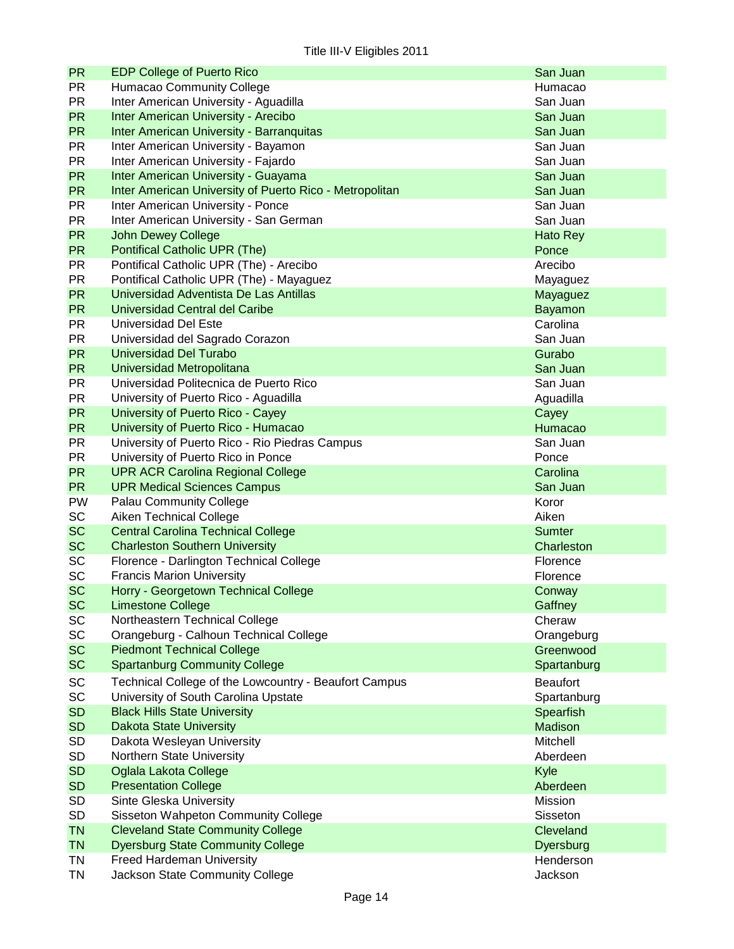| <b>PR</b>              | <b>EDP College of Puerto Rico</b>                       | San Juan        |
|------------------------|---------------------------------------------------------|-----------------|
| <b>PR</b>              | Humacao Community College                               | Humacao         |
| <b>PR</b>              | Inter American University - Aguadilla                   | San Juan        |
| <b>PR</b>              | Inter American University - Arecibo                     | San Juan        |
| <b>PR</b>              | <b>Inter American University - Barranquitas</b>         | San Juan        |
| <b>PR</b>              | Inter American University - Bayamon                     | San Juan        |
| <b>PR</b>              | Inter American University - Fajardo                     | San Juan        |
| <b>PR</b>              | Inter American University - Guayama                     | San Juan        |
| <b>PR</b>              | Inter American University of Puerto Rico - Metropolitan | San Juan        |
| <b>PR</b>              | Inter American University - Ponce                       | San Juan        |
| <b>PR</b>              | Inter American University - San German                  | San Juan        |
| <b>PR</b>              | <b>John Dewey College</b>                               | Hato Rey        |
| <b>PR</b>              | Pontifical Catholic UPR (The)                           | Ponce           |
| <b>PR</b>              | Pontifical Catholic UPR (The) - Arecibo                 | Arecibo         |
| <b>PR</b>              | Pontifical Catholic UPR (The) - Mayaguez                | Mayaguez        |
| <b>PR</b>              | Universidad Adventista De Las Antillas                  | Mayaguez        |
| <b>PR</b>              | Universidad Central del Caribe                          | Bayamon         |
| PR                     | Universidad Del Este                                    | Carolina        |
| <b>PR</b>              | Universidad del Sagrado Corazon                         | San Juan        |
| <b>PR</b>              | Universidad Del Turabo                                  | Gurabo          |
| <b>PR</b>              | <b>Universidad Metropolitana</b>                        | San Juan        |
| <b>PR</b>              | Universidad Politecnica de Puerto Rico                  | San Juan        |
| <b>PR</b>              | University of Puerto Rico - Aguadilla                   | Aguadilla       |
| <b>PR</b>              | University of Puerto Rico - Cayey                       | Cayey           |
| <b>PR</b>              | University of Puerto Rico - Humacao                     | Humacao         |
| <b>PR</b>              | University of Puerto Rico - Rio Piedras Campus          | San Juan        |
| <b>PR</b>              | University of Puerto Rico in Ponce                      | Ponce           |
| <b>PR</b>              | <b>UPR ACR Carolina Regional College</b>                | Carolina        |
| <b>PR</b>              | <b>UPR Medical Sciences Campus</b>                      | San Juan        |
|                        |                                                         |                 |
| <b>PW</b>              | <b>Palau Community College</b>                          | Koror<br>Aiken  |
| SC                     | Aiken Technical College                                 |                 |
| <b>SC</b><br><b>SC</b> | <b>Central Carolina Technical College</b>               | <b>Sumter</b>   |
|                        | <b>Charleston Southern University</b>                   | Charleston      |
| SC<br><b>SC</b>        | Florence - Darlington Technical College                 | Florence        |
|                        | <b>Francis Marion University</b>                        | Florence        |
| <b>SC</b>              | Horry - Georgetown Technical College                    | Conway          |
| <b>SC</b>              | Limestone College                                       | Gaffney         |
| SC                     | Northeastern Technical College                          | Cheraw          |
| SC                     | Orangeburg - Calhoun Technical College                  | Orangeburg      |
| <b>SC</b>              | <b>Piedmont Technical College</b>                       | Greenwood       |
| <b>SC</b>              | <b>Spartanburg Community College</b>                    | Spartanburg     |
| <b>SC</b>              | Technical College of the Lowcountry - Beaufort Campus   | <b>Beaufort</b> |
| SC                     | University of South Carolina Upstate                    | Spartanburg     |
| <b>SD</b>              | <b>Black Hills State University</b>                     | Spearfish       |
| <b>SD</b>              | <b>Dakota State University</b>                          | Madison         |
| <b>SD</b>              | Dakota Wesleyan University                              | Mitchell        |
| <b>SD</b>              | Northern State University                               | Aberdeen        |
| <b>SD</b>              | Oglala Lakota College                                   | Kyle            |
| <b>SD</b>              | <b>Presentation College</b>                             | Aberdeen        |
| <b>SD</b>              | Sinte Gleska University                                 | Mission         |
| <b>SD</b>              | Sisseton Wahpeton Community College                     | Sisseton        |
| <b>TN</b>              | <b>Cleveland State Community College</b>                | Cleveland       |
| <b>TN</b>              | <b>Dyersburg State Community College</b>                | Dyersburg       |
| TN                     | <b>Freed Hardeman University</b>                        | Henderson       |
| TN                     | Jackson State Community College                         | Jackson         |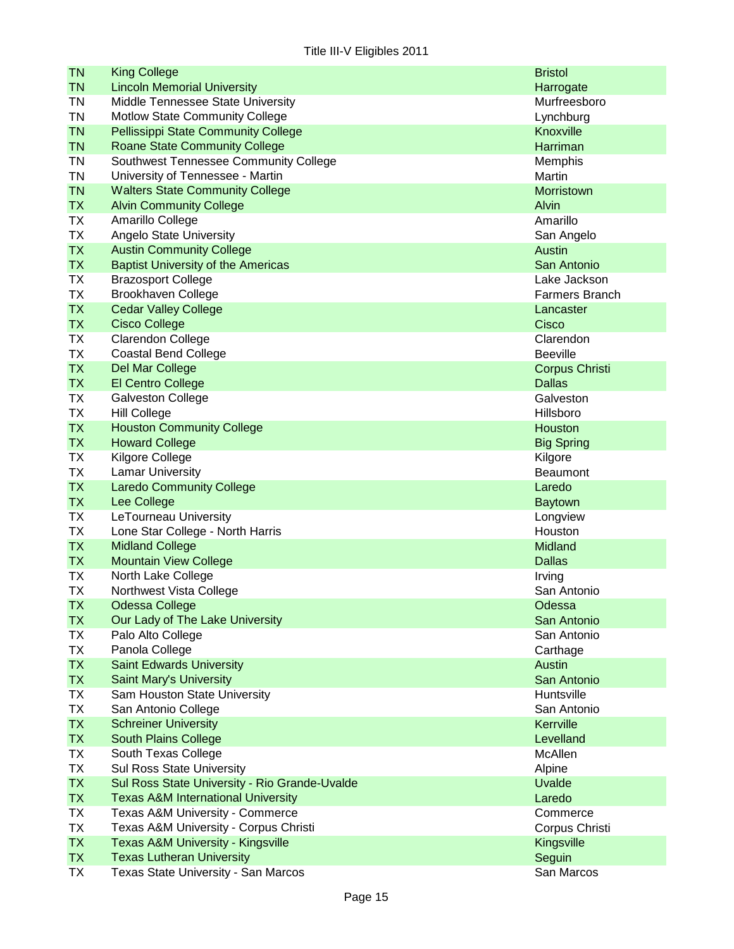| <b>TN</b>       | <b>King College</b>                                            | <b>Bristol</b>             |
|-----------------|----------------------------------------------------------------|----------------------------|
| <b>TN</b>       | <b>Lincoln Memorial University</b>                             | Harrogate                  |
| <b>TN</b>       | Middle Tennessee State University                              | Murfreesboro               |
| <b>TN</b>       | Motlow State Community College                                 | Lynchburg                  |
| <b>TN</b>       | <b>Pellissippi State Community College</b>                     | Knoxville                  |
| <b>TN</b>       | <b>Roane State Community College</b>                           | Harriman                   |
| <b>TN</b>       | Southwest Tennessee Community College                          | Memphis                    |
| <b>TN</b>       | University of Tennessee - Martin                               | Martin                     |
| <b>TN</b>       | <b>Walters State Community College</b>                         | Morristown                 |
| <b>TX</b>       | <b>Alvin Community College</b>                                 | Alvin                      |
| <b>TX</b>       | Amarillo College                                               | Amarillo                   |
| <b>TX</b>       | Angelo State University                                        | San Angelo                 |
| <b>TX</b>       | <b>Austin Community College</b>                                | <b>Austin</b>              |
| <b>TX</b>       | <b>Baptist University of the Americas</b>                      | San Antonio                |
| <b>TX</b>       | <b>Brazosport College</b>                                      | Lake Jackson               |
| <b>TX</b>       | <b>Brookhaven College</b>                                      | <b>Farmers Branch</b>      |
| <b>TX</b>       | <b>Cedar Valley College</b>                                    | Lancaster                  |
| <b>TX</b>       | <b>Cisco College</b>                                           | Cisco                      |
| ТX              | <b>Clarendon College</b>                                       | Clarendon                  |
| <b>TX</b>       | <b>Coastal Bend College</b>                                    | <b>Beeville</b>            |
| <b>TX</b>       | Del Mar College                                                | <b>Corpus Christi</b>      |
| <b>TX</b>       | El Centro College                                              | <b>Dallas</b>              |
| TX              | <b>Galveston College</b>                                       | Galveston                  |
| <b>TX</b>       | <b>Hill College</b>                                            | Hillsboro                  |
| <b>TX</b>       | <b>Houston Community College</b>                               | Houston                    |
| <b>TX</b>       | <b>Howard College</b>                                          | <b>Big Spring</b>          |
| <b>TX</b>       | Kilgore College                                                | Kilgore                    |
| TX              | <b>Lamar University</b>                                        | <b>Beaumont</b>            |
| <b>TX</b>       | <b>Laredo Community College</b>                                | Laredo                     |
| <b>TX</b>       | Lee College                                                    | <b>Baytown</b>             |
| <b>TX</b>       | LeTourneau University                                          | Longview                   |
| <b>TX</b>       | Lone Star College - North Harris                               | Houston                    |
| <b>TX</b>       | <b>Midland College</b>                                         | Midland                    |
| <b>TX</b>       | <b>Mountain View College</b>                                   | <b>Dallas</b>              |
| <b>TX</b>       | North Lake College                                             | Irving                     |
| ТX              | Northwest Vista College                                        | San Antonio                |
| <b>TX</b>       | <b>Odessa College</b>                                          | Odessa                     |
| <b>TX</b>       | Our Lady of The Lake University                                | San Antonio<br>San Antonio |
| <b>TX</b>       | Palo Alto College                                              |                            |
| TX<br><b>TX</b> | Panola College                                                 | Carthage<br><b>Austin</b>  |
| <b>TX</b>       | <b>Saint Edwards University</b>                                | San Antonio                |
| TX              | <b>Saint Mary's University</b><br>Sam Houston State University | Huntsville                 |
| <b>TX</b>       | San Antonio College                                            | San Antonio                |
| <b>TX</b>       | <b>Schreiner University</b>                                    | Kerrville                  |
| <b>TX</b>       | <b>South Plains College</b>                                    | Levelland                  |
| TX              | South Texas College                                            | McAllen                    |
| <b>TX</b>       | Sul Ross State University                                      | Alpine                     |
| <b>TX</b>       | Sul Ross State University - Rio Grande-Uvalde                  | <b>Uvalde</b>              |
| <b>TX</b>       | <b>Texas A&amp;M International University</b>                  | Laredo                     |
| TX              | Texas A&M University - Commerce                                | Commerce                   |
| <b>TX</b>       | Texas A&M University - Corpus Christi                          | Corpus Christi             |
| <b>TX</b>       | <b>Texas A&amp;M University - Kingsville</b>                   | Kingsville                 |
| <b>TX</b>       | <b>Texas Lutheran University</b>                               | Seguin                     |
| TX              | Texas State University - San Marcos                            | San Marcos                 |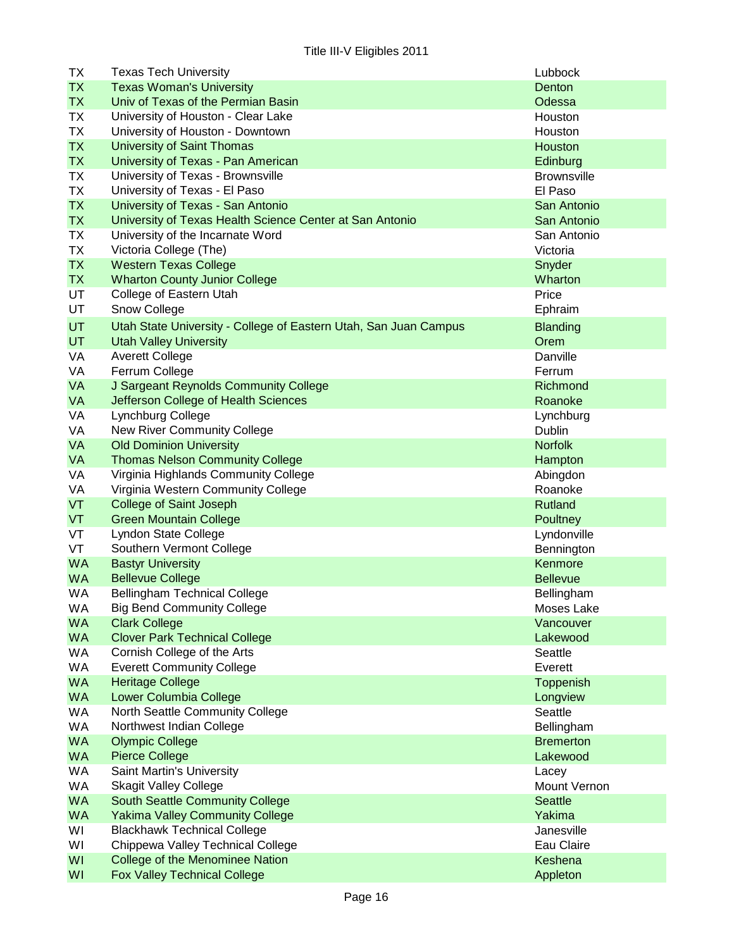| TX        | <b>Texas Tech University</b>                                     | Lubbock            |
|-----------|------------------------------------------------------------------|--------------------|
| <b>TX</b> | <b>Texas Woman's University</b>                                  | Denton             |
| <b>TX</b> | Univ of Texas of the Permian Basin                               | Odessa             |
| TX        | University of Houston - Clear Lake                               | Houston            |
| <b>TX</b> | University of Houston - Downtown                                 | Houston            |
| <b>TX</b> | <b>University of Saint Thomas</b>                                | Houston            |
| <b>TX</b> | University of Texas - Pan American                               | Edinburg           |
| <b>TX</b> | University of Texas - Brownsville                                | <b>Brownsville</b> |
| <b>TX</b> | University of Texas - El Paso                                    | El Paso            |
| <b>TX</b> | University of Texas - San Antonio                                | San Antonio        |
| <b>TX</b> | University of Texas Health Science Center at San Antonio         | San Antonio        |
| <b>TX</b> | University of the Incarnate Word                                 | San Antonio        |
| <b>TX</b> |                                                                  | Victoria           |
| <b>TX</b> | Victoria College (The)                                           |                    |
|           | <b>Western Texas College</b>                                     | Snyder             |
| <b>TX</b> | <b>Wharton County Junior College</b>                             | Wharton            |
| UT        | College of Eastern Utah                                          | Price              |
| UT        | Snow College                                                     | Ephraim            |
| <b>UT</b> | Utah State University - College of Eastern Utah, San Juan Campus | <b>Blanding</b>    |
| <b>UT</b> | <b>Utah Valley University</b>                                    | Orem               |
| VA        | <b>Averett College</b>                                           | Danville           |
| VA        | Ferrum College                                                   | Ferrum             |
| <b>VA</b> | J Sargeant Reynolds Community College                            | Richmond           |
| <b>VA</b> | Jefferson College of Health Sciences                             | Roanoke            |
| VA        | Lynchburg College                                                | Lynchburg          |
| VA        | New River Community College                                      | Dublin             |
| <b>VA</b> | <b>Old Dominion University</b>                                   | <b>Norfolk</b>     |
| <b>VA</b> | <b>Thomas Nelson Community College</b>                           | Hampton            |
| VA        | Virginia Highlands Community College                             | Abingdon           |
| VA        | Virginia Western Community College                               | Roanoke            |
| VT        | <b>College of Saint Joseph</b>                                   | Rutland            |
| VT        | <b>Green Mountain College</b>                                    | Poultney           |
| VT        | Lyndon State College                                             | Lyndonville        |
| VT        | Southern Vermont College                                         | Bennington         |
| <b>WA</b> | <b>Bastyr University</b>                                         | Kenmore            |
| <b>WA</b> | <b>Bellevue College</b>                                          | <b>Bellevue</b>    |
| WA        | <b>Bellingham Technical College</b>                              | Bellingham         |
| WA        | <b>Big Bend Community College</b>                                | Moses Lake         |
| <b>WA</b> | <b>Clark College</b>                                             | Vancouver          |
| <b>WA</b> | <b>Clover Park Technical College</b>                             | Lakewood           |
| WA        | Cornish College of the Arts                                      | Seattle            |
| WA        | <b>Everett Community College</b>                                 | Everett            |
| <b>WA</b> | <b>Heritage College</b>                                          | Toppenish          |
| <b>WA</b> | Lower Columbia College                                           | Longview           |
| WA        | North Seattle Community College                                  | Seattle            |
| WA        | Northwest Indian College                                         | Bellingham         |
| <b>WA</b> | <b>Olympic College</b>                                           | <b>Bremerton</b>   |
| <b>WA</b> | <b>Pierce College</b>                                            | Lakewood           |
| WA        | Saint Martin's University                                        | Lacey              |
| WA        | <b>Skagit Valley College</b>                                     | Mount Vernon       |
| <b>WA</b> | <b>South Seattle Community College</b>                           | <b>Seattle</b>     |
| <b>WA</b> | <b>Yakima Valley Community College</b>                           | Yakima             |
| WI        | <b>Blackhawk Technical College</b>                               | Janesville         |
| WI        | Chippewa Valley Technical College                                | Eau Claire         |
| WI        | College of the Menominee Nation                                  | Keshena            |
| WI        | <b>Fox Valley Technical College</b>                              | Appleton           |
|           |                                                                  |                    |